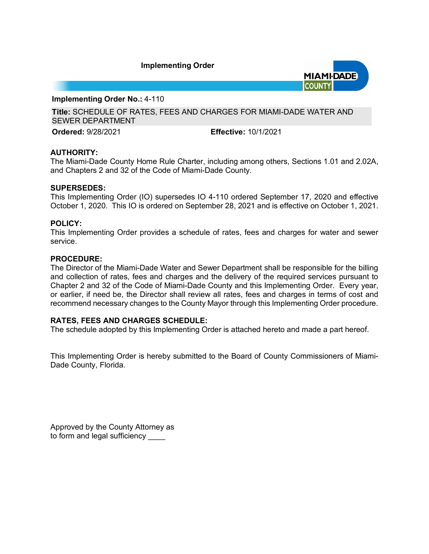**Implementing Order** 



**Implementing Order No.:** 4-110

**Title:** SCHEDULE OF RATES, FEES AND CHARGES FOR MIAMI-DADE WATER AND SEWER DEPARTMENT

**Ordered:** 9/28/2021 **Effective:** 10/1/2021

# **AUTHORITY:**

The Miami-Dade County Home Rule Charter, including among others, Sections 1.01 and 2.02A, and Chapters 2 and 32 of the Code of Miami-Dade County.

# **SUPERSEDES:**

This Implementing Order (IO) supersedes IO 4-110 ordered September 17, 2020 and effective October 1, 2020. This IO is ordered on September 28, 2021 and is effective on October 1, 2021.

# **POLICY:**

This Implementing Order provides a schedule of rates, fees and charges for water and sewer service.

# **PROCEDURE:**

The Director of the Miami-Dade Water and Sewer Department shall be responsible for the billing and collection of rates, fees and charges and the delivery of the required services pursuant to Chapter 2 and 32 of the Code of Miami-Dade County and this Implementing Order. Every year, or earlier, if need be, the Director shall review all rates, fees and charges in terms of cost and recommend necessary changes to the County Mayor through this Implementing Order procedure.

# **RATES, FEES AND CHARGES SCHEDULE:**

The schedule adopted by this Implementing Order is attached hereto and made a part hereof.

This Implementing Order is hereby submitted to the Board of County Commissioners of Miami-Dade County, Florida.

Approved by the County Attorney as to form and legal sufficiency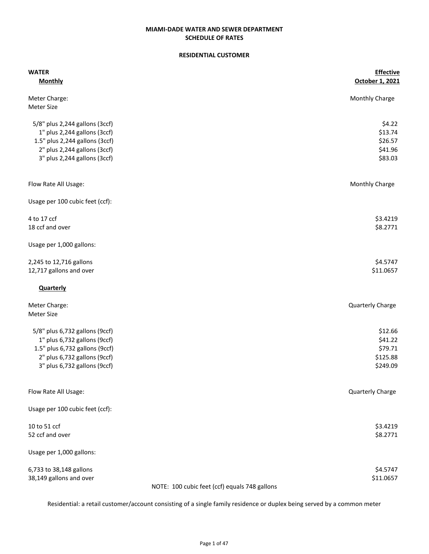#### **RESIDENTIAL CUSTOMER**

| <b>WATER</b><br><b>Monthly</b>  | <b>Effective</b><br>October 1, 2021           |
|---------------------------------|-----------------------------------------------|
| Meter Charge:<br>Meter Size     | Monthly Charge                                |
| 5/8" plus 2,244 gallons (3ccf)  | \$4.22                                        |
| 1" plus 2,244 gallons (3ccf)    | \$13.74                                       |
| 1.5" plus 2,244 gallons (3ccf)  | \$26.57                                       |
| 2" plus 2,244 gallons (3ccf)    | \$41.96                                       |
| 3" plus 2,244 gallons (3ccf)    | \$83.03                                       |
| Flow Rate All Usage:            | Monthly Charge                                |
| Usage per 100 cubic feet (ccf): |                                               |
| 4 to 17 ccf                     | \$3.4219                                      |
| 18 ccf and over                 | \$8.2771                                      |
| Usage per 1,000 gallons:        |                                               |
| 2,245 to 12,716 gallons         | \$4.5747                                      |
| 12,717 gallons and over         | \$11.0657                                     |
| <b>Quarterly</b>                |                                               |
| Meter Charge:                   | Quarterly Charge                              |
| Meter Size                      |                                               |
| 5/8" plus 6,732 gallons (9ccf)  | \$12.66                                       |
| 1" plus 6,732 gallons (9ccf)    | \$41.22                                       |
| 1.5" plus 6,732 gallons (9ccf)  | \$79.71                                       |
| 2" plus 6,732 gallons (9ccf)    | \$125.88                                      |
| 3" plus 6,732 gallons (9ccf)    | \$249.09                                      |
| Flow Rate All Usage:            | Quarterly Charge                              |
| Usage per 100 cubic feet (ccf): |                                               |
| 10 to 51 ccf                    | \$3.4219                                      |
| 52 ccf and over                 | \$8.2771                                      |
| Usage per 1,000 gallons:        |                                               |
| 6,733 to 38,148 gallons         | \$4.5747                                      |
| 38,149 gallons and over         | \$11.0657                                     |
|                                 | NOTE: 100 cubic feet (ccf) equals 748 gallons |

Residential: a retail customer/account consisting of a single family residence or duplex being served by a common meter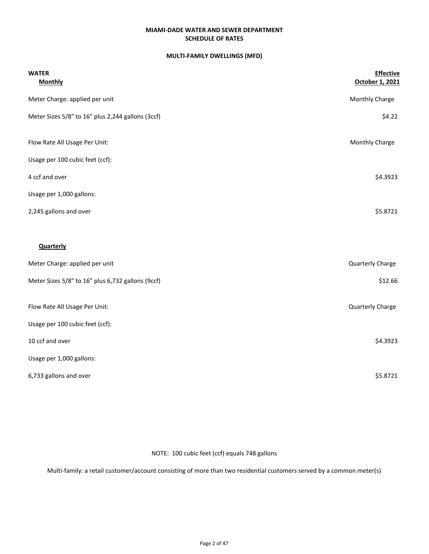## **MULTI-FAMILY DWELLINGS (MFD)**

| <b>WATER</b><br><b>Monthly</b>                    | <b>Effective</b><br>October 1, 2021 |
|---------------------------------------------------|-------------------------------------|
| Meter Charge: applied per unit                    | Monthly Charge                      |
| Meter Sizes 5/8" to 16" plus 2,244 gallons (3ccf) | \$4.22                              |
| Flow Rate All Usage Per Unit:                     | Monthly Charge                      |
| Usage per 100 cubic feet (ccf):                   |                                     |
| 4 ccf and over                                    | \$4.3923                            |
| Usage per 1,000 gallons:                          |                                     |
| 2,245 gallons and over                            | \$5.8721                            |
|                                                   |                                     |
| <b>Quarterly</b>                                  |                                     |
| Meter Charge: applied per unit                    | Quarterly Charge                    |
| Meter Sizes 5/8" to 16" plus 6,732 gallons (9ccf) | \$12.66                             |
| Flow Rate All Usage Per Unit:                     | Quarterly Charge                    |
| Usage per 100 cubic feet (ccf):                   |                                     |
| 10 ccf and over                                   | \$4.3923                            |
| Usage per 1,000 gallons:                          |                                     |
| 6,733 gallons and over                            | \$5.8721                            |

NOTE: 100 cubic feet (ccf) equals 748 gallons

Multi-family: a retail customer/account consisting of more than two residential customers served by a common meter(s)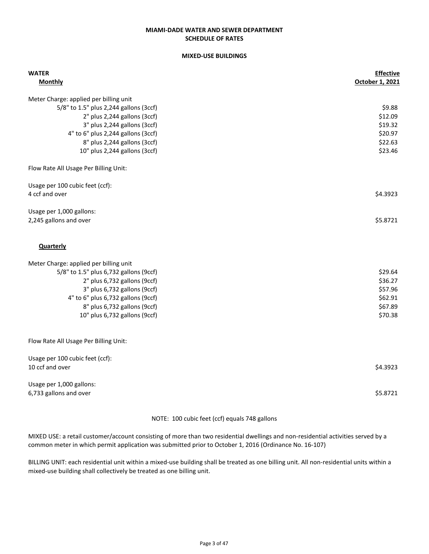## **SCHEDULE OF RATES MIAMI-DADE WATER AND SEWER DEPARTMENT**

## **MIXED-USE BUILDINGS**

| <b>WATER</b><br><b>Monthly</b>         | Effective<br>October 1, 2021 |
|----------------------------------------|------------------------------|
| Meter Charge: applied per billing unit |                              |
| 5/8" to 1.5" plus 2,244 gallons (3ccf) | \$9.88                       |
| 2" plus 2,244 gallons (3ccf)           | \$12.09                      |
| 3" plus 2,244 gallons (3ccf)           | \$19.32                      |
| 4" to 6" plus 2,244 gallons (3ccf)     | \$20.97                      |
| 8" plus 2,244 gallons (3ccf)           | \$22.63                      |
| 10" plus 2,244 gallons (3ccf)          | \$23.46                      |
| Flow Rate All Usage Per Billing Unit:  |                              |
| Usage per 100 cubic feet (ccf):        |                              |
| 4 ccf and over                         | \$4.3923                     |
| Usage per 1,000 gallons:               |                              |
| 2,245 gallons and over                 | \$5.8721                     |
| <b>Quarterly</b>                       |                              |
| Meter Charge: applied per billing unit |                              |
| 5/8" to 1.5" plus 6,732 gallons (9ccf) | \$29.64                      |
| 2" plus 6,732 gallons (9ccf)           | \$36.27                      |
| 3" plus 6,732 gallons (9ccf)           | \$57.96                      |
| 4" to 6" plus 6,732 gallons (9ccf)     | \$62.91                      |
| 8" plus 6,732 gallons (9ccf)           | \$67.89                      |
| 10" plus 6,732 gallons (9ccf)          | \$70.38                      |
| Flow Rate All Usage Per Billing Unit:  |                              |
| Usage per 100 cubic feet (ccf):        |                              |
| 10 ccf and over                        | \$4.3923                     |
| Usage per 1,000 gallons:               |                              |
| 6,733 gallons and over                 | \$5.8721                     |
|                                        |                              |

#### NOTE: 100 cubic feet (ccf) equals 748 gallons

MIXED USE: a retail customer/account consisting of more than two residential dwellings and non-residential activities served by a common meter in which permit application was submitted prior to October 1, 2016 (Ordinance No. 16-107)

BILLING UNIT: each residential unit within a mixed-use building shall be treated as one billing unit. All non-residential units within a mixed-use building shall collectively be treated as one billing unit.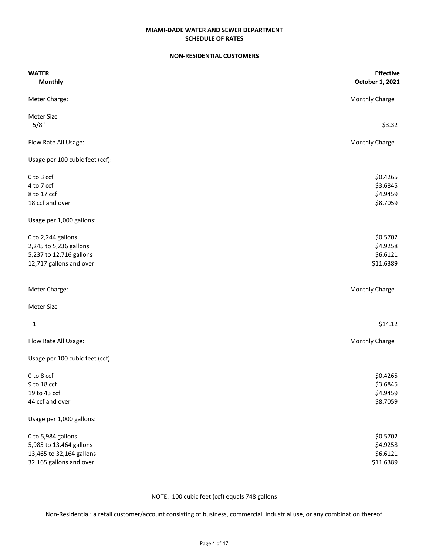## **NON-RESIDENTIAL CUSTOMERS**

| <b>WATER</b><br><b>Monthly</b>  | Effective       |
|---------------------------------|-----------------|
|                                 | October 1, 2021 |
| Meter Charge:                   | Monthly Charge  |
| <b>Meter Size</b>               |                 |
| 5/8"                            | \$3.32          |
| Flow Rate All Usage:            | Monthly Charge  |
| Usage per 100 cubic feet (ccf): |                 |
| 0 to 3 ccf                      | \$0.4265        |
| 4 to 7 ccf                      | \$3.6845        |
| 8 to 17 ccf                     | \$4.9459        |
| 18 ccf and over                 | \$8.7059        |
| Usage per 1,000 gallons:        |                 |
| 0 to 2,244 gallons              | \$0.5702        |
| 2,245 to 5,236 gallons          | \$4.9258        |
| 5,237 to 12,716 gallons         | \$6.6121        |
| 12,717 gallons and over         | \$11.6389       |
| Meter Charge:                   | Monthly Charge  |
| <b>Meter Size</b>               |                 |
| $\mathbf{1}^{\text{u}}$         | \$14.12         |
| Flow Rate All Usage:            | Monthly Charge  |
| Usage per 100 cubic feet (ccf): |                 |
| 0 to 8 ccf                      | \$0.4265        |
| 9 to 18 ccf                     | \$3.6845        |
| 19 to 43 ccf                    | \$4.9459        |
| 44 ccf and over                 | \$8.7059        |
| Usage per 1,000 gallons:        |                 |
| 0 to 5,984 gallons              | \$0.5702        |
| 5,985 to 13,464 gallons         | \$4.9258        |
| 13,465 to 32,164 gallons        | \$6.6121        |
| 32,165 gallons and over         | \$11.6389       |

NOTE: 100 cubic feet (ccf) equals 748 gallons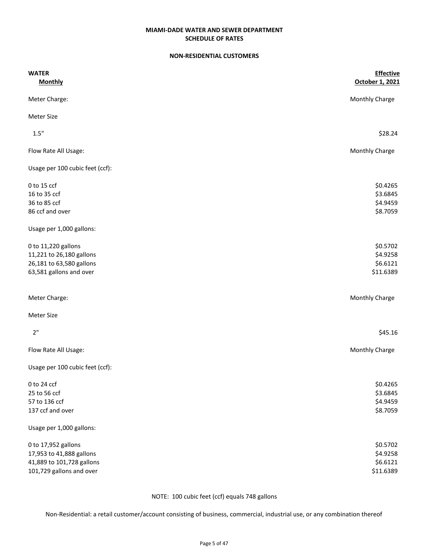## **SCHEDULE OF RATES MIAMI-DADE WATER AND SEWER DEPARTMENT**

#### **NON-RESIDENTIAL CUSTOMERS**

| <b>WATER</b>                    | Effective       |
|---------------------------------|-----------------|
| <b>Monthly</b>                  | October 1, 2021 |
| Meter Charge:                   | Monthly Charge  |
| <b>Meter Size</b>               |                 |
| $1.5"$                          | \$28.24         |
| Flow Rate All Usage:            | Monthly Charge  |
| Usage per 100 cubic feet (ccf): |                 |
| 0 to 15 ccf                     | \$0.4265        |
| 16 to 35 ccf                    | \$3.6845        |
| 36 to 85 ccf                    | \$4.9459        |
| 86 ccf and over                 | \$8.7059        |
| Usage per 1,000 gallons:        |                 |
| 0 to 11,220 gallons             | \$0.5702        |
| 11,221 to 26,180 gallons        | \$4.9258        |
| 26,181 to 63,580 gallons        | \$6.6121        |
| 63,581 gallons and over         | \$11.6389       |
| Meter Charge:                   | Monthly Charge  |
| Meter Size                      |                 |
| 2"                              | \$45.16         |
| Flow Rate All Usage:            | Monthly Charge  |
| Usage per 100 cubic feet (ccf): |                 |
| 0 to 24 ccf                     | \$0.4265        |
| 25 to 56 ccf                    | \$3.6845        |
| 57 to 136 ccf                   | \$4.9459        |
| 137 ccf and over                | \$8.7059        |
| Usage per 1,000 gallons:        |                 |
| 0 to 17,952 gallons             | \$0.5702        |
| 17,953 to 41,888 gallons        | \$4.9258        |
| 41,889 to 101,728 gallons       | \$6.6121        |
| 101,729 gallons and over        | \$11.6389       |

NOTE: 100 cubic feet (ccf) equals 748 gallons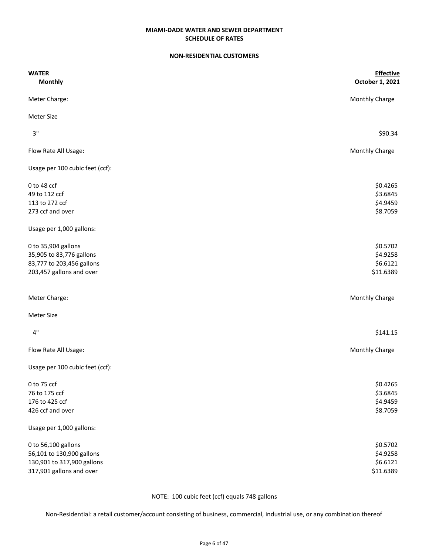#### **NON-RESIDENTIAL CUSTOMERS**

| <b>WATER</b>                    | Effective       |
|---------------------------------|-----------------|
| <b>Monthly</b>                  | October 1, 2021 |
| Meter Charge:                   | Monthly Charge  |
| <b>Meter Size</b>               |                 |
| 3"                              | \$90.34         |
| Flow Rate All Usage:            | Monthly Charge  |
| Usage per 100 cubic feet (ccf): |                 |
| 0 to 48 ccf                     | \$0.4265        |
| 49 to 112 ccf                   | \$3.6845        |
| 113 to 272 ccf                  | \$4.9459        |
| 273 ccf and over                | \$8.7059        |
| Usage per 1,000 gallons:        |                 |
| 0 to 35,904 gallons             | \$0.5702        |
| 35,905 to 83,776 gallons        | \$4.9258        |
| 83,777 to 203,456 gallons       | \$6.6121        |
| 203,457 gallons and over        | \$11.6389       |
| Meter Charge:                   | Monthly Charge  |
| <b>Meter Size</b>               |                 |
| 4"                              | \$141.15        |
| Flow Rate All Usage:            | Monthly Charge  |
| Usage per 100 cubic feet (ccf): |                 |
| 0 to 75 ccf                     | \$0.4265        |
| 76 to 175 ccf                   | \$3.6845        |
| 176 to 425 ccf                  | \$4.9459        |
| 426 ccf and over                | \$8.7059        |
| Usage per 1,000 gallons:        |                 |
| 0 to 56,100 gallons             | \$0.5702        |
| 56,101 to 130,900 gallons       | \$4.9258        |
| 130,901 to 317,900 gallons      | \$6.6121        |
| 317,901 gallons and over        | \$11.6389       |

NOTE: 100 cubic feet (ccf) equals 748 gallons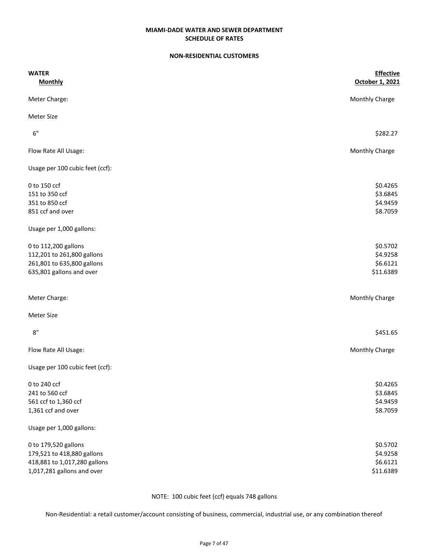#### **NON-RESIDENTIAL CUSTOMERS**

| <b>WATER</b>                    | Effective       |
|---------------------------------|-----------------|
| <b>Monthly</b>                  | October 1, 2021 |
| Meter Charge:                   | Monthly Charge  |
| <b>Meter Size</b>               |                 |
| $6"$                            | \$282.27        |
| Flow Rate All Usage:            | Monthly Charge  |
| Usage per 100 cubic feet (ccf): |                 |
| 0 to 150 ccf                    | \$0.4265        |
| 151 to 350 ccf                  | \$3.6845        |
| 351 to 850 ccf                  | \$4.9459        |
| 851 ccf and over                | \$8.7059        |
| Usage per 1,000 gallons:        |                 |
| 0 to 112,200 gallons            | \$0.5702        |
| 112,201 to 261,800 gallons      | \$4.9258        |
| 261,801 to 635,800 gallons      | \$6.6121        |
| 635,801 gallons and over        | \$11.6389       |
| Meter Charge:                   | Monthly Charge  |
| <b>Meter Size</b>               |                 |
| 8"                              | \$451.65        |
| Flow Rate All Usage:            | Monthly Charge  |
| Usage per 100 cubic feet (ccf): |                 |
| 0 to 240 ccf                    | \$0.4265        |
| 241 to 560 ccf                  | \$3.6845        |
| 561 ccf to 1,360 ccf            | \$4.9459        |
| 1,361 ccf and over              | \$8.7059        |
| Usage per 1,000 gallons:        |                 |
| 0 to 179,520 gallons            | \$0.5702        |
| 179,521 to 418,880 gallons      | \$4.9258        |
| 418,881 to 1,017,280 gallons    | \$6.6121        |
| 1,017,281 gallons and over      | \$11.6389       |

NOTE: 100 cubic feet (ccf) equals 748 gallons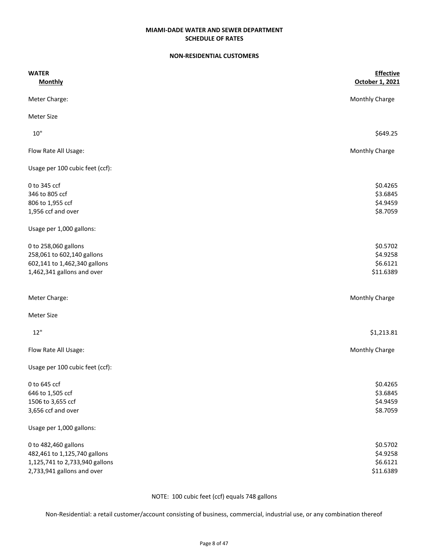## **NON-RESIDENTIAL CUSTOMERS**

| <b>WATER</b>                    | Effective       |
|---------------------------------|-----------------|
| <b>Monthly</b>                  | October 1, 2021 |
| Meter Charge:                   | Monthly Charge  |
| <b>Meter Size</b>               |                 |
| 10"                             | \$649.25        |
| Flow Rate All Usage:            | Monthly Charge  |
| Usage per 100 cubic feet (ccf): |                 |
| 0 to 345 ccf                    | \$0.4265        |
| 346 to 805 ccf                  | \$3.6845        |
| 806 to 1,955 ccf                | \$4.9459        |
| 1,956 ccf and over              | \$8.7059        |
| Usage per 1,000 gallons:        |                 |
| 0 to 258,060 gallons            | \$0.5702        |
| 258,061 to 602,140 gallons      | \$4.9258        |
| 602,141 to 1,462,340 gallons    | \$6.6121        |
| 1,462,341 gallons and over      | \$11.6389       |
| Meter Charge:                   | Monthly Charge  |
| <b>Meter Size</b>               |                 |
| 12"                             | \$1,213.81      |
| Flow Rate All Usage:            | Monthly Charge  |
| Usage per 100 cubic feet (ccf): |                 |
| 0 to 645 ccf                    | \$0.4265        |
| 646 to 1,505 ccf                | \$3.6845        |
| 1506 to 3,655 ccf               | \$4.9459        |
| 3,656 ccf and over              | \$8.7059        |
| Usage per 1,000 gallons:        |                 |
| 0 to 482,460 gallons            | \$0.5702        |
| 482,461 to 1,125,740 gallons    | \$4.9258        |
| 1,125,741 to 2,733,940 gallons  | \$6.6121        |
| 2,733,941 gallons and over      | \$11.6389       |

NOTE: 100 cubic feet (ccf) equals 748 gallons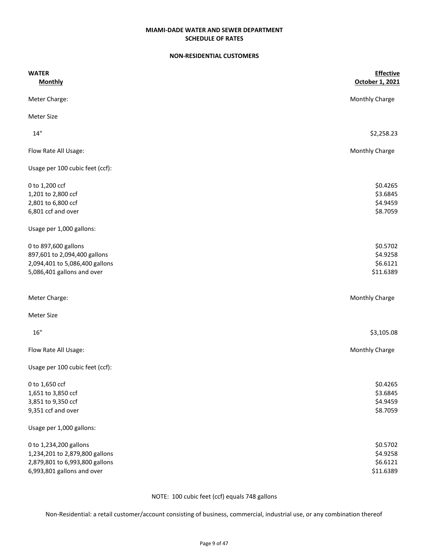## **NON-RESIDENTIAL CUSTOMERS**

| <b>WATER</b>                    | Effective       |
|---------------------------------|-----------------|
| <b>Monthly</b>                  | October 1, 2021 |
| Meter Charge:                   | Monthly Charge  |
| <b>Meter Size</b>               |                 |
| 14"                             | \$2,258.23      |
| Flow Rate All Usage:            | Monthly Charge  |
| Usage per 100 cubic feet (ccf): |                 |
| 0 to 1,200 ccf                  | \$0.4265        |
| 1,201 to 2,800 ccf              | \$3.6845        |
| 2,801 to 6,800 ccf              | \$4.9459        |
| 6,801 ccf and over              | \$8.7059        |
| Usage per 1,000 gallons:        |                 |
| 0 to 897,600 gallons            | \$0.5702        |
| 897,601 to 2,094,400 gallons    | \$4.9258        |
| 2,094,401 to 5,086,400 gallons  | \$6.6121        |
| 5,086,401 gallons and over      | \$11.6389       |
| Meter Charge:                   | Monthly Charge  |
| <b>Meter Size</b>               |                 |
| 16"                             | \$3,105.08      |
| Flow Rate All Usage:            | Monthly Charge  |
| Usage per 100 cubic feet (ccf): |                 |
| 0 to 1,650 ccf                  | \$0.4265        |
| 1,651 to 3,850 ccf              | \$3.6845        |
| 3,851 to 9,350 ccf              | \$4.9459        |
| 9,351 ccf and over              | \$8.7059        |
| Usage per 1,000 gallons:        |                 |
| 0 to 1,234,200 gallons          | \$0.5702        |
| 1,234,201 to 2,879,800 gallons  | \$4.9258        |
| 2,879,801 to 6,993,800 gallons  | \$6.6121        |
| 6,993,801 gallons and over      | \$11.6389       |

NOTE: 100 cubic feet (ccf) equals 748 gallons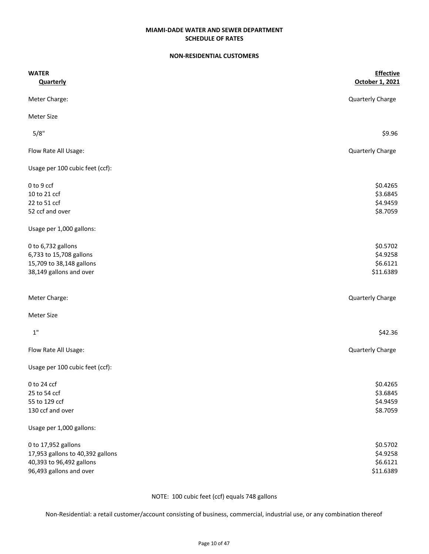#### **NON-RESIDENTIAL CUSTOMERS**

| <b>WATER</b>                     | Effective        |
|----------------------------------|------------------|
| <b>Quarterly</b>                 | October 1, 2021  |
| Meter Charge:                    | Quarterly Charge |
| <b>Meter Size</b>                |                  |
| 5/8"                             | \$9.96           |
| Flow Rate All Usage:             | Quarterly Charge |
| Usage per 100 cubic feet (ccf):  |                  |
| 0 to 9 ccf                       | \$0.4265         |
| 10 to 21 ccf                     | \$3.6845         |
| 22 to 51 ccf                     | \$4.9459         |
| 52 ccf and over                  | \$8.7059         |
| Usage per 1,000 gallons:         |                  |
| 0 to 6,732 gallons               | \$0.5702         |
| 6,733 to 15,708 gallons          | \$4.9258         |
| 15,709 to 38,148 gallons         | \$6.6121         |
| 38,149 gallons and over          | \$11.6389        |
| Meter Charge:                    | Quarterly Charge |
| <b>Meter Size</b>                |                  |
| $1"$                             | \$42.36          |
| Flow Rate All Usage:             | Quarterly Charge |
| Usage per 100 cubic feet (ccf):  |                  |
| 0 to 24 ccf                      | \$0.4265         |
| 25 to 54 ccf                     | \$3.6845         |
| 55 to 129 ccf                    | \$4.9459         |
| 130 ccf and over                 | \$8.7059         |
| Usage per 1,000 gallons:         |                  |
| 0 to 17,952 gallons              | \$0.5702         |
| 17,953 gallons to 40,392 gallons | \$4.9258         |
| 40,393 to 96,492 gallons         | \$6.6121         |
| 96,493 gallons and over          | \$11.6389        |

NOTE: 100 cubic feet (ccf) equals 748 gallons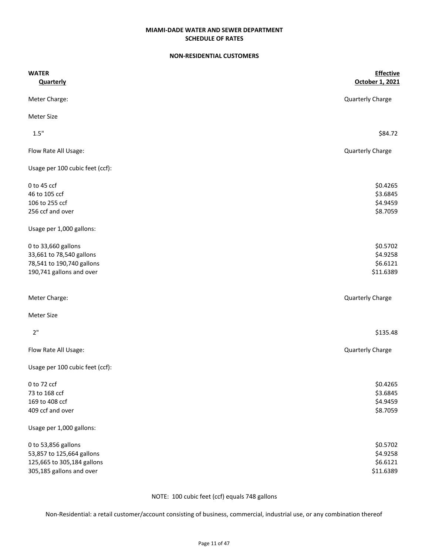#### **NON-RESIDENTIAL CUSTOMERS**

| <b>WATER</b>                    | Effective        |
|---------------------------------|------------------|
| <b>Quarterly</b>                | October 1, 2021  |
| Meter Charge:                   | Quarterly Charge |
| <b>Meter Size</b>               |                  |
| 1.5"                            | \$84.72          |
| Flow Rate All Usage:            | Quarterly Charge |
| Usage per 100 cubic feet (ccf): |                  |
| 0 to 45 ccf                     | \$0.4265         |
| 46 to 105 ccf                   | \$3.6845         |
| 106 to 255 ccf                  | \$4.9459         |
| 256 ccf and over                | \$8.7059         |
| Usage per 1,000 gallons:        |                  |
| 0 to 33,660 gallons             | \$0.5702         |
| 33,661 to 78,540 gallons        | \$4.9258         |
| 78,541 to 190,740 gallons       | \$6.6121         |
| 190,741 gallons and over        | \$11.6389        |
| Meter Charge:                   | Quarterly Charge |
| <b>Meter Size</b>               |                  |
| 2"                              | \$135.48         |
| Flow Rate All Usage:            | Quarterly Charge |
| Usage per 100 cubic feet (ccf): |                  |
| 0 to 72 ccf                     | \$0.4265         |
| 73 to 168 ccf                   | \$3.6845         |
| 169 to 408 ccf                  | \$4.9459         |
| 409 ccf and over                | \$8.7059         |
| Usage per 1,000 gallons:        |                  |
| 0 to 53,856 gallons             | \$0.5702         |
| 53,857 to 125,664 gallons       | \$4.9258         |
| 125,665 to 305,184 gallons      | \$6.6121         |
| 305,185 gallons and over        | \$11.6389        |

NOTE: 100 cubic feet (ccf) equals 748 gallons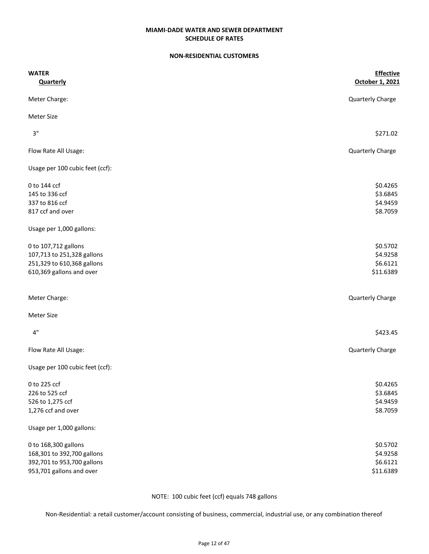#### **NON-RESIDENTIAL CUSTOMERS**

| <b>WATER</b>                    | Effective        |
|---------------------------------|------------------|
| <b>Quarterly</b>                | October 1, 2021  |
| Meter Charge:                   | Quarterly Charge |
| <b>Meter Size</b>               |                  |
| 3"                              | \$271.02         |
| Flow Rate All Usage:            | Quarterly Charge |
| Usage per 100 cubic feet (ccf): |                  |
| 0 to 144 ccf                    | \$0.4265         |
| 145 to 336 ccf                  | \$3.6845         |
| 337 to 816 ccf                  | \$4.9459         |
| 817 ccf and over                | \$8.7059         |
| Usage per 1,000 gallons:        |                  |
| 0 to 107,712 gallons            | \$0.5702         |
| 107,713 to 251,328 gallons      | \$4.9258         |
| 251,329 to 610,368 gallons      | \$6.6121         |
| 610,369 gallons and over        | \$11.6389        |
| Meter Charge:                   | Quarterly Charge |
| <b>Meter Size</b>               |                  |
| 4"                              | \$423.45         |
| Flow Rate All Usage:            | Quarterly Charge |
| Usage per 100 cubic feet (ccf): |                  |
| 0 to 225 ccf                    | \$0.4265         |
| 226 to 525 ccf                  | \$3.6845         |
| 526 to 1,275 ccf                | \$4.9459         |
| 1,276 ccf and over              | \$8.7059         |
| Usage per 1,000 gallons:        |                  |
| 0 to 168,300 gallons            | \$0.5702         |
| 168,301 to 392,700 gallons      | \$4.9258         |
| 392,701 to 953,700 gallons      | \$6.6121         |
| 953,701 gallons and over        | \$11.6389        |

NOTE: 100 cubic feet (ccf) equals 748 gallons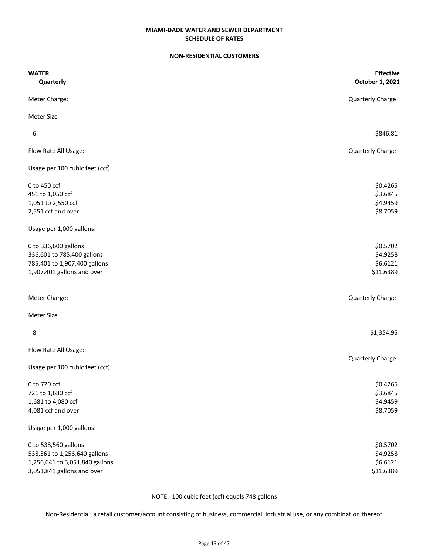#### **NON-RESIDENTIAL CUSTOMERS**

| <b>WATER</b>                    | <b>Effective</b> |
|---------------------------------|------------------|
| <b>Quarterly</b>                | October 1, 2021  |
| Meter Charge:                   | Quarterly Charge |
| <b>Meter Size</b>               |                  |
| $6"$                            | \$846.81         |
| Flow Rate All Usage:            | Quarterly Charge |
| Usage per 100 cubic feet (ccf): |                  |
| 0 to 450 ccf                    | \$0.4265         |
| 451 to 1,050 ccf                | \$3.6845         |
| 1,051 to 2,550 ccf              | \$4.9459         |
| 2,551 ccf and over              | \$8.7059         |
| Usage per 1,000 gallons:        |                  |
| 0 to 336,600 gallons            | \$0.5702         |
| 336,601 to 785,400 gallons      | \$4.9258         |
| 785,401 to 1,907,400 gallons    | \$6.6121         |
| 1,907,401 gallons and over      | \$11.6389        |
| Meter Charge:                   | Quarterly Charge |
| <b>Meter Size</b>               |                  |
| 8"                              | \$1,354.95       |
| Flow Rate All Usage:            |                  |
| Usage per 100 cubic feet (ccf): | Quarterly Charge |
| 0 to 720 ccf                    | \$0.4265         |
| 721 to 1,680 ccf                | \$3.6845         |
| 1,681 to 4,080 ccf              | \$4.9459         |
| 4,081 ccf and over              | \$8.7059         |
| Usage per 1,000 gallons:        |                  |
| 0 to 538,560 gallons            | \$0.5702         |
| 538,561 to 1,256,640 gallons    | \$4.9258         |
| 1,256,641 to 3,051,840 gallons  | \$6.6121         |
| 3,051,841 gallons and over      | \$11.6389        |

NOTE: 100 cubic feet (ccf) equals 748 gallons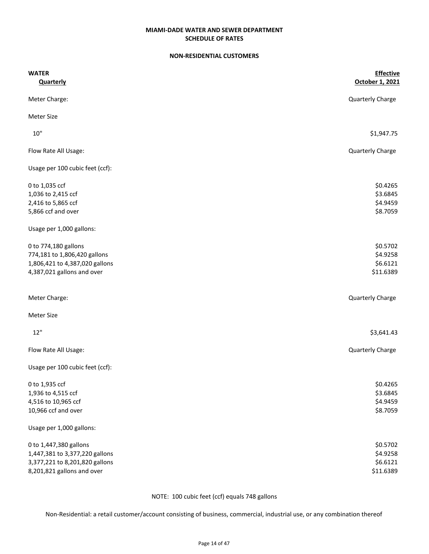## **NON-RESIDENTIAL CUSTOMERS**

| <b>WATER</b>                    | Effective        |
|---------------------------------|------------------|
| <b>Quarterly</b>                | October 1, 2021  |
| Meter Charge:                   | Quarterly Charge |
| <b>Meter Size</b>               |                  |
| 10"                             | \$1,947.75       |
| Flow Rate All Usage:            | Quarterly Charge |
| Usage per 100 cubic feet (ccf): |                  |
| 0 to 1,035 ccf                  | \$0.4265         |
| 1,036 to 2,415 ccf              | \$3.6845         |
| 2,416 to 5,865 ccf              | \$4.9459         |
| 5,866 ccf and over              | \$8.7059         |
| Usage per 1,000 gallons:        |                  |
| 0 to 774,180 gallons            | \$0.5702         |
| 774,181 to 1,806,420 gallons    | \$4.9258         |
| 1,806,421 to 4,387,020 gallons  | \$6.6121         |
| 4,387,021 gallons and over      | \$11.6389        |
| Meter Charge:                   | Quarterly Charge |
| <b>Meter Size</b>               |                  |
| 12"                             | \$3,641.43       |
| Flow Rate All Usage:            | Quarterly Charge |
| Usage per 100 cubic feet (ccf): |                  |
| 0 to 1,935 ccf                  | \$0.4265         |
| 1,936 to 4,515 ccf              | \$3.6845         |
| 4,516 to 10,965 ccf             | \$4.9459         |
| 10,966 ccf and over             | \$8.7059         |
| Usage per 1,000 gallons:        |                  |
| 0 to 1,447,380 gallons          | \$0.5702         |
| 1,447,381 to 3,377,220 gallons  | \$4.9258         |
| 3,377,221 to 8,201,820 gallons  | \$6.6121         |
| 8,201,821 gallons and over      | \$11.6389        |

NOTE: 100 cubic feet (ccf) equals 748 gallons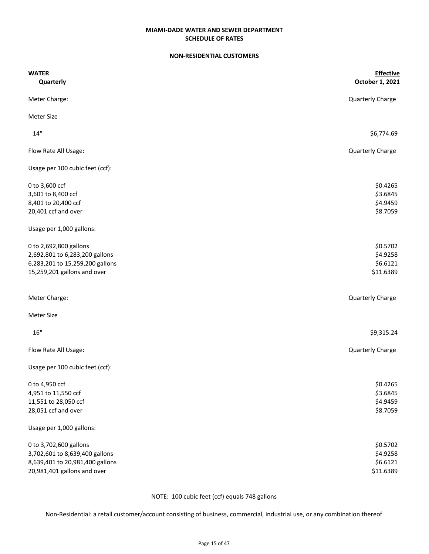## **SCHEDULE OF RATES MIAMI-DADE WATER AND SEWER DEPARTMENT**

#### **NON-RESIDENTIAL CUSTOMERS**

| <b>WATER</b>                    | <b>Effective</b> |
|---------------------------------|------------------|
| Quarterly                       | October 1, 2021  |
| Meter Charge:                   | Quarterly Charge |
| Meter Size                      |                  |
| 14"                             | \$6,774.69       |
| Flow Rate All Usage:            | Quarterly Charge |
| Usage per 100 cubic feet (ccf): |                  |
| 0 to 3,600 ccf                  | \$0.4265         |
| 3,601 to 8,400 ccf              | \$3.6845         |
| 8,401 to 20,400 ccf             | \$4.9459         |
| 20,401 ccf and over             | \$8.7059         |
| Usage per 1,000 gallons:        |                  |
| 0 to 2,692,800 gallons          | \$0.5702         |
| 2,692,801 to 6,283,200 gallons  | \$4.9258         |
| 6,283,201 to 15,259,200 gallons | \$6.6121         |
| 15,259,201 gallons and over     | \$11.6389        |
| Meter Charge:                   | Quarterly Charge |
| <b>Meter Size</b>               |                  |
| 16"                             | \$9,315.24       |
| Flow Rate All Usage:            | Quarterly Charge |
| Usage per 100 cubic feet (ccf): |                  |
| 0 to 4,950 ccf                  | \$0.4265         |
| 4,951 to 11,550 ccf             | \$3.6845         |
| 11,551 to 28,050 ccf            | \$4.9459         |
| 28,051 ccf and over             | \$8.7059         |
| Usage per 1,000 gallons:        |                  |
| 0 to 3,702,600 gallons          | \$0.5702         |
| 3,702,601 to 8,639,400 gallons  | \$4.9258         |
| 8,639,401 to 20,981,400 gallons | \$6.6121         |
| 20,981,401 gallons and over     | \$11.6389        |

NOTE: 100 cubic feet (ccf) equals 748 gallons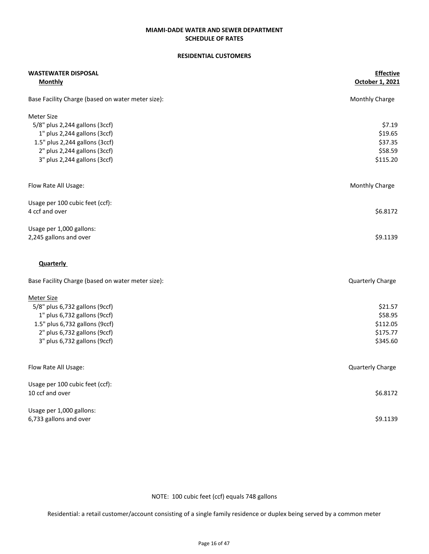## **RESIDENTIAL CUSTOMERS**

| <b>WASTEWATER DISPOSAL</b>                        | Effective        |
|---------------------------------------------------|------------------|
| <b>Monthly</b>                                    | October 1, 2021  |
| Base Facility Charge (based on water meter size): | Monthly Charge   |
| <b>Meter Size</b>                                 |                  |
| 5/8" plus 2,244 gallons (3ccf)                    | \$7.19           |
| 1" plus 2,244 gallons (3ccf)                      | \$19.65          |
| 1.5" plus 2,244 gallons (3ccf)                    | \$37.35          |
| 2" plus 2,244 gallons (3ccf)                      | \$58.59          |
| 3" plus 2,244 gallons (3ccf)                      | \$115.20         |
| Flow Rate All Usage:                              | Monthly Charge   |
| Usage per 100 cubic feet (ccf):                   |                  |
| 4 ccf and over                                    | \$6.8172         |
| Usage per 1,000 gallons:                          |                  |
| 2,245 gallons and over                            | \$9.1139         |
| <b>Quarterly</b>                                  |                  |
| Base Facility Charge (based on water meter size): | Quarterly Charge |
| Meter Size                                        |                  |
| 5/8" plus 6,732 gallons (9ccf)                    | \$21.57          |
| 1" plus 6,732 gallons (9ccf)                      | \$58.95          |
| 1.5" plus 6,732 gallons (9ccf)                    | \$112.05         |
| 2" plus 6,732 gallons (9ccf)                      | \$175.77         |
| 3" plus 6,732 gallons (9ccf)                      | \$345.60         |
| Flow Rate All Usage:                              | Quarterly Charge |
| Usage per 100 cubic feet (ccf):                   |                  |
| 10 ccf and over                                   | \$6.8172         |
| Usage per 1,000 gallons:                          |                  |
| 6,733 gallons and over                            | \$9.1139         |

NOTE: 100 cubic feet (ccf) equals 748 gallons

Residential: a retail customer/account consisting of a single family residence or duplex being served by a common meter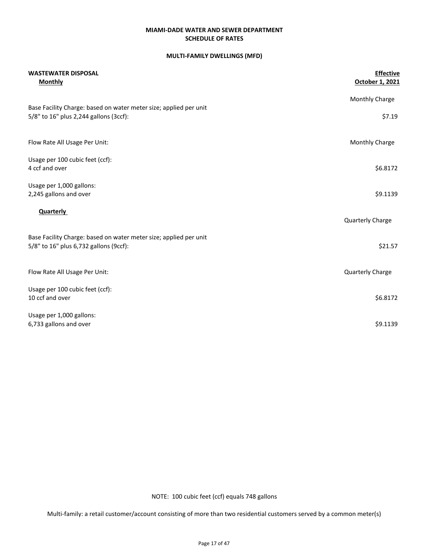## **MULTI-FAMILY DWELLINGS (MFD)**

| <b>WASTEWATER DISPOSAL</b><br><b>Monthly</b>                                                                | <b>Effective</b><br>October 1, 2021 |
|-------------------------------------------------------------------------------------------------------------|-------------------------------------|
|                                                                                                             | Monthly Charge                      |
| Base Facility Charge: based on water meter size; applied per unit<br>5/8" to 16" plus 2,244 gallons (3ccf): | \$7.19                              |
| Flow Rate All Usage Per Unit:                                                                               | Monthly Charge                      |
| Usage per 100 cubic feet (ccf):                                                                             |                                     |
| 4 ccf and over                                                                                              | \$6.8172                            |
| Usage per 1,000 gallons:                                                                                    |                                     |
| 2,245 gallons and over                                                                                      | \$9.1139                            |
| <b>Quarterly</b>                                                                                            | Quarterly Charge                    |
| Base Facility Charge: based on water meter size; applied per unit<br>5/8" to 16" plus 6,732 gallons (9ccf): | \$21.57                             |
| Flow Rate All Usage Per Unit:                                                                               | <b>Quarterly Charge</b>             |
| Usage per 100 cubic feet (ccf):                                                                             |                                     |
| 10 ccf and over                                                                                             | \$6.8172                            |
| Usage per 1,000 gallons:                                                                                    |                                     |
| 6,733 gallons and over                                                                                      | \$9.1139                            |

NOTE: 100 cubic feet (ccf) equals 748 gallons

Multi-family: a retail customer/account consisting of more than two residential customers served by a common meter(s)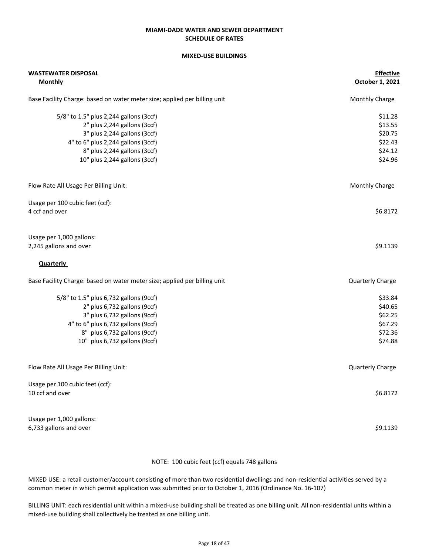### **MIXED-USE BUILDINGS**

| <b>WASTEWATER DISPOSAL</b>                                                | Effective        |
|---------------------------------------------------------------------------|------------------|
| <b>Monthly</b>                                                            | October 1, 2021  |
| Base Facility Charge: based on water meter size; applied per billing unit | Monthly Charge   |
| 5/8" to 1.5" plus 2,244 gallons (3ccf)                                    | \$11.28          |
| 2" plus 2,244 gallons (3ccf)                                              | \$13.55          |
| 3" plus 2,244 gallons (3ccf)                                              | \$20.75          |
| 4" to 6" plus 2,244 gallons (3ccf)                                        | \$22.43          |
| 8" plus 2,244 gallons (3ccf)                                              | \$24.12          |
| 10" plus 2,244 gallons (3ccf)                                             | \$24.96          |
| Flow Rate All Usage Per Billing Unit:                                     | Monthly Charge   |
| Usage per 100 cubic feet (ccf):                                           |                  |
| 4 ccf and over                                                            | \$6.8172         |
| Usage per 1,000 gallons:                                                  |                  |
| 2,245 gallons and over                                                    | \$9.1139         |
| <b>Quarterly</b>                                                          |                  |
| Base Facility Charge: based on water meter size; applied per billing unit | Quarterly Charge |
| 5/8" to 1.5" plus 6,732 gallons (9ccf)                                    | \$33.84          |
| 2" plus 6,732 gallons (9ccf)                                              | \$40.65          |
| 3" plus 6,732 gallons (9ccf)                                              | \$62.25          |
| 4" to 6" plus 6,732 gallons (9ccf)                                        | \$67.29          |
| 8" plus 6,732 gallons (9ccf)                                              | \$72.36          |
| 10" plus 6,732 gallons (9ccf)                                             | \$74.88          |
| Flow Rate All Usage Per Billing Unit:                                     | Quarterly Charge |
| Usage per 100 cubic feet (ccf):                                           |                  |
| 10 ccf and over                                                           | \$6.8172         |
| Usage per 1,000 gallons:                                                  |                  |
| 6,733 gallons and over                                                    | \$9.1139         |

NOTE: 100 cubic feet (ccf) equals 748 gallons

MIXED USE: a retail customer/account consisting of more than two residential dwellings and non-residential activities served by a common meter in which permit application was submitted prior to October 1, 2016 (Ordinance No. 16-107)

BILLING UNIT: each residential unit within a mixed-use building shall be treated as one billing unit. All non-residential units within a mixed-use building shall collectively be treated as one billing unit.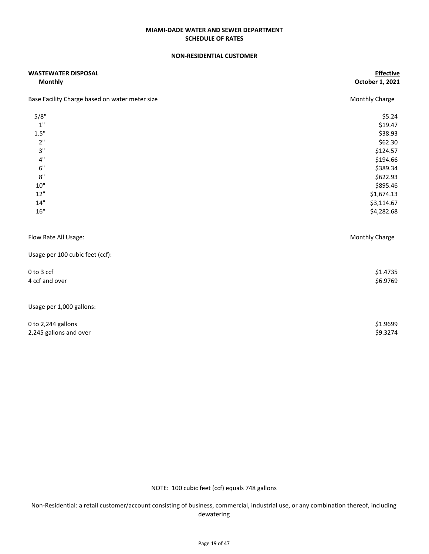#### **NON-RESIDENTIAL CUSTOMER**

| <b>WASTEWATER DISPOSAL</b><br><b>Monthly</b>   | Effective<br>October 1, 2021 |
|------------------------------------------------|------------------------------|
| Base Facility Charge based on water meter size | <b>Monthly Charge</b>        |
| 5/8"                                           | \$5.24                       |
| $1"$                                           | \$19.47                      |
| 1.5"                                           | \$38.93                      |
| 2"                                             | \$62.30                      |
| 3"                                             | \$124.57                     |
| 4"                                             | \$194.66                     |
| $6"$                                           | \$389.34                     |
| $8"$                                           | \$622.93                     |
| $10"$                                          | \$895.46                     |
| 12"                                            | \$1,674.13                   |
| 14"                                            | \$3,114.67                   |
| $16"$                                          | \$4,282.68                   |
| Flow Rate All Usage:                           | Monthly Charge               |
| Usage per 100 cubic feet (ccf):                |                              |
| 0 to 3 ccf                                     | \$1.4735                     |
| 4 ccf and over                                 | \$6.9769                     |
| Usage per 1,000 gallons:                       |                              |
| 0 to 2,244 gallons                             | \$1.9699                     |
| 2,245 gallons and over                         | \$9.3274                     |

NOTE: 100 cubic feet (ccf) equals 748 gallons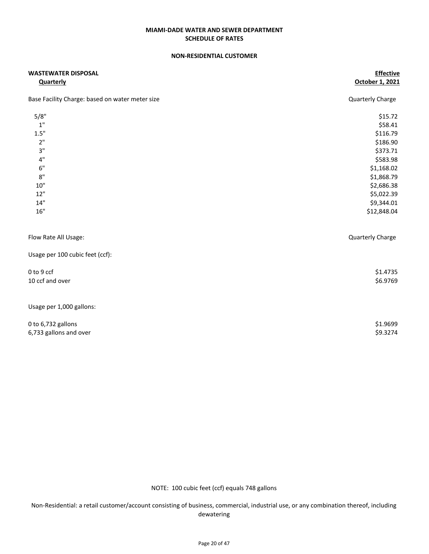#### **NON-RESIDENTIAL CUSTOMER**

| <b>WASTEWATER DISPOSAL</b><br><b>Quarterly</b>  | Effective<br>October 1, 2021 |
|-------------------------------------------------|------------------------------|
| Base Facility Charge: based on water meter size | Quarterly Charge             |
| 5/8"                                            | \$15.72                      |
| $\mathbf{1}^{\mathrm{u}}$                       | \$58.41                      |
| 1.5"                                            | \$116.79                     |
| 2"                                              | \$186.90                     |
| 3"                                              | \$373.71                     |
| $4"$                                            | \$583.98                     |
| $6"$                                            | \$1,168.02                   |
| $8"$                                            | \$1,868.79                   |
| $10"$                                           | \$2,686.38                   |
| 12"                                             | \$5,022.39                   |
| 14"                                             | \$9,344.01                   |
| $16"$                                           | \$12,848.04                  |
| Flow Rate All Usage:                            | Quarterly Charge             |
| Usage per 100 cubic feet (ccf):                 |                              |
| 0 to 9 ccf                                      | \$1.4735                     |
| 10 ccf and over                                 | \$6.9769                     |
| Usage per 1,000 gallons:                        |                              |
| 0 to 6,732 gallons                              | \$1.9699                     |
| 6,733 gallons and over                          | \$9.3274                     |

NOTE: 100 cubic feet (ccf) equals 748 gallons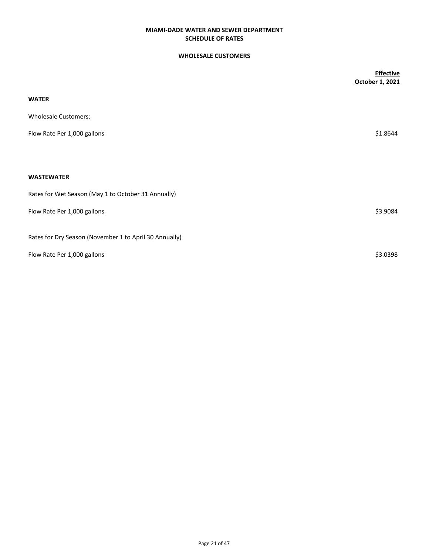## **WHOLESALE CUSTOMERS**

|                                                        | <b>Effective</b><br>October 1, 2021 |
|--------------------------------------------------------|-------------------------------------|
| <b>WATER</b>                                           |                                     |
| <b>Wholesale Customers:</b>                            |                                     |
| Flow Rate Per 1,000 gallons                            | \$1.8644                            |
|                                                        |                                     |
| <b>WASTEWATER</b>                                      |                                     |
| Rates for Wet Season (May 1 to October 31 Annually)    |                                     |
| Flow Rate Per 1,000 gallons                            | \$3.9084                            |
| Rates for Dry Season (November 1 to April 30 Annually) |                                     |
| Flow Rate Per 1,000 gallons                            | \$3.0398                            |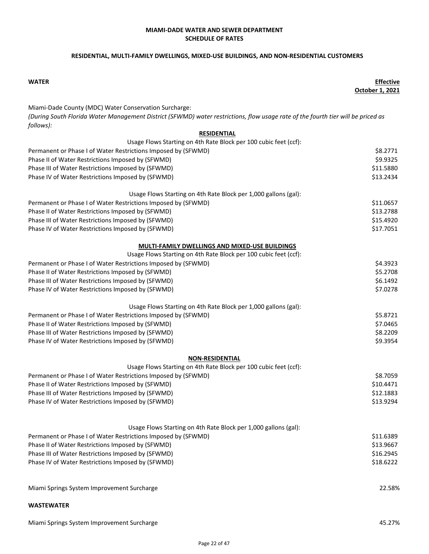## **RESIDENTIAL, MULTI-FAMILY DWELLINGS, MIXED-USE BUILDINGS, AND NON-RESIDENTIAL CUSTOMERS**

| <b>WATER</b>                                                                                                                                  | <b>Effective</b><br>October 1, 2021 |
|-----------------------------------------------------------------------------------------------------------------------------------------------|-------------------------------------|
| Miami-Dade County (MDC) Water Conservation Surcharge:                                                                                         |                                     |
| (During South Florida Water Management District (SFWMD) water restrictions, flow usage rate of the fourth tier will be priced as<br>follows): |                                     |
| <b>RESIDENTIAL</b>                                                                                                                            |                                     |
| Usage Flows Starting on 4th Rate Block per 100 cubic feet (ccf):                                                                              |                                     |
| Permanent or Phase I of Water Restrictions Imposed by (SFWMD)                                                                                 | \$8.2771                            |
| Phase II of Water Restrictions Imposed by (SFWMD)                                                                                             | \$9.9325                            |
| Phase III of Water Restrictions Imposed by (SFWMD)                                                                                            | \$11.5880                           |
| Phase IV of Water Restrictions Imposed by (SFWMD)                                                                                             | \$13.2434                           |
| Usage Flows Starting on 4th Rate Block per 1,000 gallons (gal):                                                                               |                                     |
| Permanent or Phase I of Water Restrictions Imposed by (SFWMD)                                                                                 | \$11.0657                           |
| Phase II of Water Restrictions Imposed by (SFWMD)                                                                                             | \$13.2788                           |
| Phase III of Water Restrictions Imposed by (SFWMD)                                                                                            | \$15.4920                           |
| Phase IV of Water Restrictions Imposed by (SFWMD)                                                                                             | \$17.7051                           |
| <b>MULTI-FAMILY DWELLINGS AND MIXED-USE BUILDINGS</b>                                                                                         |                                     |
| Usage Flows Starting on 4th Rate Block per 100 cubic feet (ccf):                                                                              |                                     |
| Permanent or Phase I of Water Restrictions Imposed by (SFWMD)                                                                                 | \$4.3923                            |
| Phase II of Water Restrictions Imposed by (SFWMD)                                                                                             | \$5.2708                            |
| Phase III of Water Restrictions Imposed by (SFWMD)                                                                                            | \$6.1492                            |
| Phase IV of Water Restrictions Imposed by (SFWMD)                                                                                             | \$7.0278                            |
| Usage Flows Starting on 4th Rate Block per 1,000 gallons (gal):                                                                               |                                     |
| Permanent or Phase I of Water Restrictions Imposed by (SFWMD)                                                                                 | \$5.8721                            |
| Phase II of Water Restrictions Imposed by (SFWMD)                                                                                             | \$7.0465                            |
| Phase III of Water Restrictions Imposed by (SFWMD)                                                                                            | \$8.2209                            |
| Phase IV of Water Restrictions Imposed by (SFWMD)                                                                                             | \$9.3954                            |
| <b>NON-RESIDENTIAL</b>                                                                                                                        |                                     |
| Usage Flows Starting on 4th Rate Block per 100 cubic feet (ccf):                                                                              |                                     |
| Permanent or Phase I of Water Restrictions Imposed by (SFWMD)                                                                                 | \$8.7059                            |
| Phase II of Water Restrictions Imposed by (SFWMD)                                                                                             | \$10.4471                           |
| Phase III of Water Restrictions Imposed by (SFWMD)                                                                                            | \$12.1883                           |
| Phase IV of Water Restrictions Imposed by (SFWMD)                                                                                             | \$13.9294                           |
| Usage Flows Starting on 4th Rate Block per 1,000 gallons (gal):                                                                               |                                     |
| Permanent or Phase I of Water Restrictions Imposed by (SFWMD)                                                                                 | \$11.6389                           |
| Phase II of Water Restrictions Imposed by (SFWMD)                                                                                             | \$13.9667                           |
| Phase III of Water Restrictions Imposed by (SFWMD)                                                                                            | \$16.2945                           |
| Phase IV of Water Restrictions Imposed by (SFWMD)                                                                                             | \$18.6222                           |
|                                                                                                                                               |                                     |
| Miami Springs System Improvement Surcharge                                                                                                    | 22.58%                              |
| <b>WASTEWATER</b>                                                                                                                             |                                     |

Miami Springs System Improvement Surcharge 45.27%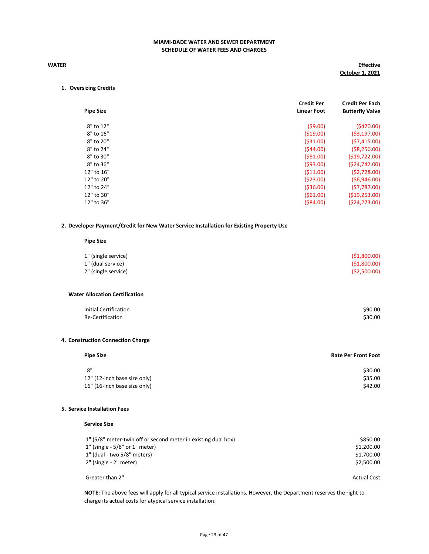#### **WATER**

## **Effective October 1, 2021**

## **1. Oversizing Credits**

| <b>Credit Per</b><br><b>Linear Foot</b> | <b>Credit Per Each</b><br><b>Butterfly Valve</b> |
|-----------------------------------------|--------------------------------------------------|
|                                         |                                                  |
|                                         | (5470.00)                                        |
|                                         | (53, 197.00)                                     |
| (531.00)                                | (57, 415.00)                                     |
| (544.00)                                | (58, 256.00)                                     |
| (581.00)                                | (519, 722.00)                                    |
| (593.00)                                | (524, 742.00)                                    |
| (511.00)                                | (52,728.00)                                      |
| (523.00)                                | (56,946.00)                                      |
| (536.00)                                | (57,787.00)                                      |
| (561.00)                                | (519, 253.00)                                    |
| $($ \$84.00)                            | (524, 273.00)                                    |
|                                         | (59.00)<br>(519.00)                              |

#### **2. Developer Payment/Credit for New Water Service Installation for Existing Property Use**

#### **Pipe Size**

| 1" (single service) | (51,800.00)   |
|---------------------|---------------|
| 1" (dual service)   | ( \$1,800.00) |
| 2" (single service) | (52,500.00)   |

#### **Water Allocation Certification**

| Initial Certification | \$90.00 |
|-----------------------|---------|
| Re-Certification      | \$30.00 |

#### **4. Construction Connection Charge**

| <b>Pipe Size</b>             | <b>Rate Per Front Foot</b> |
|------------------------------|----------------------------|
| 8"                           | \$30.00                    |
| 12" (12-inch base size only) | \$35.00                    |
| 16" (16-inch base size only) | \$42.00                    |

#### **5. Service Installation Fees**

#### **Service Size**

| 1" (5/8" meter-twin off or second meter in existing dual box)     | \$850.00                 |
|-------------------------------------------------------------------|--------------------------|
| $1"$ (single - 5/8" or $1"$ meter)<br>1" (dual - two 5/8" meters) | \$1,200.00<br>\$1.700.00 |
| 2" (single - 2" meter)                                            | \$2.500.00               |
| Greater than 2"                                                   | <b>Actual Cost</b>       |

**NOTE:** The above fees will apply for all typical service installations. However, the Department reserves the right to charge its actual costs for atypical service installation.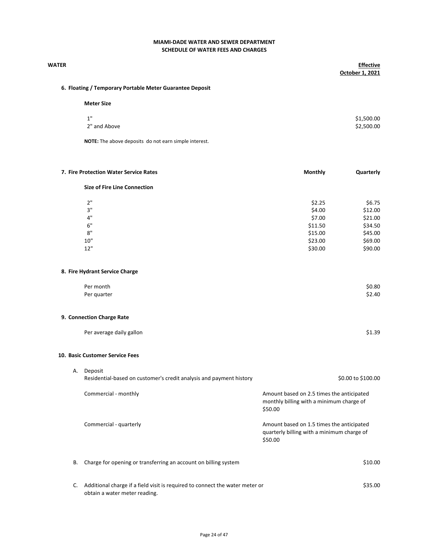| <b>WATER</b> |                                                                                   |                                                                                                    | <b>Effective</b><br>October 1, 2021 |
|--------------|-----------------------------------------------------------------------------------|----------------------------------------------------------------------------------------------------|-------------------------------------|
|              | 6. Floating / Temporary Portable Meter Guarantee Deposit                          |                                                                                                    |                                     |
|              | <b>Meter Size</b>                                                                 |                                                                                                    |                                     |
|              | 1"                                                                                |                                                                                                    | \$1,500.00                          |
|              | 2" and Above                                                                      |                                                                                                    | \$2,500.00                          |
|              | NOTE: The above deposits do not earn simple interest.                             |                                                                                                    |                                     |
|              | 7. Fire Protection Water Service Rates                                            | Monthly                                                                                            | Quarterly                           |
|              | <b>Size of Fire Line Connection</b>                                               |                                                                                                    |                                     |
|              | 2"                                                                                | \$2.25                                                                                             | \$6.75                              |
|              | 3"                                                                                | \$4.00                                                                                             | \$12.00                             |
|              | 4"                                                                                | \$7.00                                                                                             | \$21.00                             |
|              | 6"                                                                                | \$11.50                                                                                            | \$34.50                             |
|              | 8"                                                                                | \$15.00                                                                                            | \$45.00                             |
|              | 10"                                                                               | \$23.00                                                                                            | \$69.00                             |
|              | 12"                                                                               | \$30.00                                                                                            | \$90.00                             |
|              | 8. Fire Hydrant Service Charge                                                    |                                                                                                    |                                     |
|              | Per month                                                                         |                                                                                                    | \$0.80                              |
|              | Per quarter                                                                       |                                                                                                    | \$2.40                              |
|              | 9. Connection Charge Rate                                                         |                                                                                                    |                                     |
|              | Per average daily gallon                                                          |                                                                                                    | \$1.39                              |
|              | 10. Basic Customer Service Fees                                                   |                                                                                                    |                                     |
|              |                                                                                   |                                                                                                    |                                     |
|              | A. Deposit<br>Residential-based on customer's credit analysis and payment history |                                                                                                    | \$0.00 to \$100.00                  |
|              | Commercial - monthly                                                              | Amount based on 2.5 times the anticipated<br>monthly billing with a minimum charge of<br>\$50.00   |                                     |
|              | Commercial - quarterly                                                            | Amount based on 1.5 times the anticipated<br>quarterly billing with a minimum charge of<br>\$50.00 |                                     |
| В.           | Charge for opening or transferring an account on billing system                   |                                                                                                    | \$10.00                             |
| C.           | Additional charge if a field visit is required to connect the water meter or      |                                                                                                    | \$35.00                             |

obtain a water meter reading.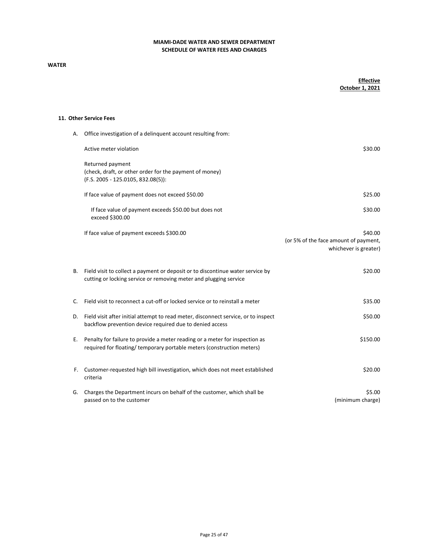#### **WATER**

## **Effective October 1, 2021**

#### **11. Other Service Fees**

| А. | Office investigation of a delinguent account resulting from:                                                                                          |                                                                           |
|----|-------------------------------------------------------------------------------------------------------------------------------------------------------|---------------------------------------------------------------------------|
|    | Active meter violation                                                                                                                                | \$30.00                                                                   |
|    | Returned payment<br>(check, draft, or other order for the payment of money)<br>(F.S. 2005 - 125.0105, 832.08(5)):                                     |                                                                           |
|    | If face value of payment does not exceed \$50.00                                                                                                      | \$25.00                                                                   |
|    | If face value of payment exceeds \$50.00 but does not<br>exceed \$300.00                                                                              | \$30.00                                                                   |
|    | If face value of payment exceeds \$300.00                                                                                                             | \$40.00<br>(or 5% of the face amount of payment,<br>whichever is greater) |
| В. | Field visit to collect a payment or deposit or to discontinue water service by<br>cutting or locking service or removing meter and plugging service   | \$20.00                                                                   |
| C. | Field visit to reconnect a cut-off or locked service or to reinstall a meter                                                                          | \$35.00                                                                   |
| D. | Field visit after initial attempt to read meter, disconnect service, or to inspect<br>backflow prevention device required due to denied access        | \$50.00                                                                   |
| Ε. | Penalty for failure to provide a meter reading or a meter for inspection as<br>required for floating/ temporary portable meters (construction meters) | \$150.00                                                                  |
| F. | Customer-requested high bill investigation, which does not meet established<br>criteria                                                               | \$20.00                                                                   |
| G. | Charges the Department incurs on behalf of the customer, which shall be<br>passed on to the customer                                                  | \$5.00<br>(minimum charge)                                                |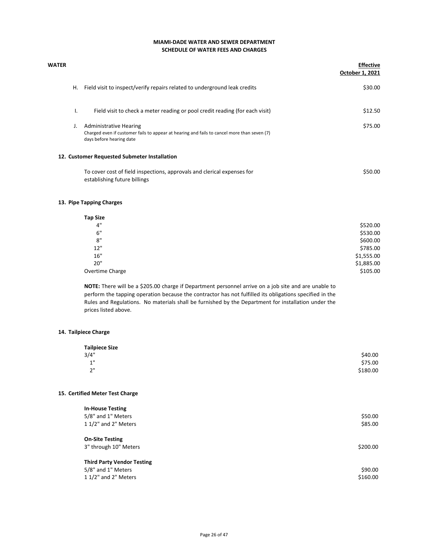#### **SCHEDULE OF WATER FEES AND CHARGES MIAMI-DADE WATER AND SEWER DEPARTMENT**

| WATER |    |                                                                                                                                                          | <b>Effective</b><br><b>October 1, 2021</b> |
|-------|----|----------------------------------------------------------------------------------------------------------------------------------------------------------|--------------------------------------------|
|       | Η. | Field visit to inspect/verify repairs related to underground leak credits                                                                                | \$30.00                                    |
|       | I. | Field visit to check a meter reading or pool credit reading (for each visit)                                                                             | \$12.50                                    |
|       | J. | <b>Administrative Hearing</b><br>Charged even if customer fails to appear at hearing and fails to cancel more than seven (7)<br>days before hearing date | \$75.00                                    |
|       |    | 12. Customer Requested Submeter Installation                                                                                                             |                                            |
|       |    | To cover cost of field inspections, approvals and clerical expenses for<br>establishing future billings                                                  | \$50.00                                    |

#### **13. Pipe Tapping Charges**

| <b>Tap Size</b> |            |
|-----------------|------------|
| 4"              | \$520.00   |
| 6"              | \$530.00   |
| 8"              | \$600.00   |
| 12"             | \$785.00   |
| 16"             | \$1,555.00 |
| 20"             | \$1,885.00 |
| Overtime Charge | \$105.00   |

**NOTE:** There will be a \$205.00 charge if Department personnel arrive on a job site and are unable to perform the tapping operation because the contractor has not fulfilled its obligations specified in the Rules and Regulations. No materials shall be furnished by the Department for installation under the prices listed above.

#### **14. Tailpiece Charge**

| <b>Tailpiece Size</b> |          |
|-----------------------|----------|
| 3/4"                  | \$40.00  |
| 1"                    | \$75.00  |
| 2"                    | \$180.00 |

#### **15. Certified Meter Test Charge**

| <b>In-House Testing</b><br>5/8" and 1" Meters<br>11/2" and 2" Meters           | \$50.00<br>\$85.00  |
|--------------------------------------------------------------------------------|---------------------|
| <b>On-Site Testing</b><br>3" through 10" Meters                                | \$200.00            |
| <b>Third Party Vendor Testing</b><br>5/8" and 1" Meters<br>11/2" and 2" Meters | \$90.00<br>\$160.00 |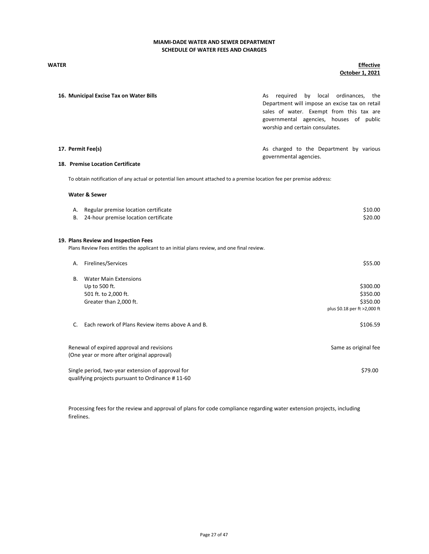#### **WATER Effective October 1, 2021**

|    | 16. Municipal Excise Tax on Water Bills                                                                                            | reguired<br>by local ordinances,<br>As<br>the<br>Department will impose an excise tax on retail<br>sales of water. Exempt from this tax are<br>governmental agencies, houses of public<br>worship and certain consulates. |
|----|------------------------------------------------------------------------------------------------------------------------------------|---------------------------------------------------------------------------------------------------------------------------------------------------------------------------------------------------------------------------|
|    | 17. Permit Fee(s)                                                                                                                  | As charged to the Department by various<br>governmental agencies.                                                                                                                                                         |
|    | 18. Premise Location Certificate                                                                                                   |                                                                                                                                                                                                                           |
|    | To obtain notification of any actual or potential lien amount attached to a premise location fee per premise address:              |                                                                                                                                                                                                                           |
|    | <b>Water &amp; Sewer</b>                                                                                                           |                                                                                                                                                                                                                           |
| А. | Regular premise location certificate                                                                                               | \$10.00                                                                                                                                                                                                                   |
| B. | 24-hour premise location certificate                                                                                               | \$20.00                                                                                                                                                                                                                   |
|    | 19. Plans Review and Inspection Fees<br>Plans Review Fees entitles the applicant to an initial plans review, and one final review. |                                                                                                                                                                                                                           |
| А. | Firelines/Services                                                                                                                 | \$55.00                                                                                                                                                                                                                   |
| В. | <b>Water Main Extensions</b>                                                                                                       |                                                                                                                                                                                                                           |
|    | Up to 500 ft.                                                                                                                      | \$300.00                                                                                                                                                                                                                  |
|    | 501 ft. to 2,000 ft.                                                                                                               | \$350.00                                                                                                                                                                                                                  |
|    | Greater than 2,000 ft.                                                                                                             | \$350.00<br>plus \$0.18 per ft >2,000 ft                                                                                                                                                                                  |
| C. | Each rework of Plans Review items above A and B.                                                                                   | \$106.59                                                                                                                                                                                                                  |
|    | Renewal of expired approval and revisions<br>(One year or more after original approval)                                            | Same as original fee                                                                                                                                                                                                      |
|    | Single period, two-year extension of approval for<br>qualifying projects pursuant to Ordinance #11-60                              | \$79.00                                                                                                                                                                                                                   |

Processing fees for the review and approval of plans for code compliance regarding water extension projects, including firelines.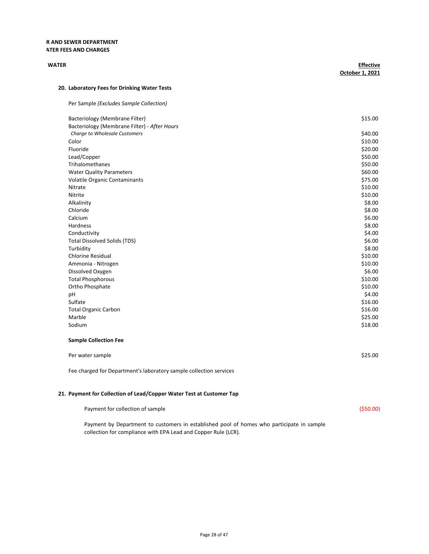#### **R AND SEWER DEPARTMENT ATER FEES AND CHARGES**

| <b>WATER</b>                                 | <b>Effective</b><br>October 1, 2021 |
|----------------------------------------------|-------------------------------------|
| 20. Laboratory Fees for Drinking Water Tests |                                     |
| Per Sample (Excludes Sample Collection)      |                                     |
| Bacteriology (Membrane Filter)               | \$15.00                             |
| Bacteriology (Membrane Filter) - After Hours |                                     |
| Charge to Wholesale Customers                | \$40.00                             |
| Color                                        | \$10.00                             |
| Fluoride                                     | \$20.00                             |
| Lead/Copper                                  | \$50.00                             |
| Trihalomethanes                              | \$50.00                             |
| <b>Water Quality Parameters</b>              | \$60.00                             |
| Volatile Organic Contaminants                | \$75.00                             |
| Nitrate                                      | \$10.00                             |
| Nitrite                                      | \$10.00                             |
| Alkalinity                                   | \$8.00                              |
| Chloride                                     | \$8.00                              |
| Calcium                                      | \$6.00                              |
| Hardness                                     | \$8.00                              |
| Conductivity                                 | \$4.00                              |
| <b>Total Dissolved Solids (TDS)</b>          | \$6.00                              |
| Turbidity                                    | \$8.00                              |
| <b>Chlorine Residual</b>                     | \$10.00                             |
| Ammonia - Nitrogen                           | \$10.00                             |
| Dissolved Oxygen                             | \$6.00                              |
| <b>Total Phosphorous</b>                     | \$10.00                             |
| Ortho Phosphate                              | \$10.00                             |
| pH                                           | \$4.00                              |
| Sulfate                                      | \$16.00                             |
| <b>Total Organic Carbon</b>                  | \$16.00                             |
| Marble                                       | \$25.00                             |
| Sodium                                       | \$18.00                             |
|                                              |                                     |
| <b>Sample Collection Fee</b>                 |                                     |

Per water sample \$25.00

Fee charged for Department's laboratory sample collection services

## **21. Payment for Collection of Lead/Copper Water Test at Customer Tap**

Payment for collection of sample (\$50.00)

Payment by Department to customers in established pool of homes who participate in sample collection for compliance with EPA Lead and Copper Rule (LCR).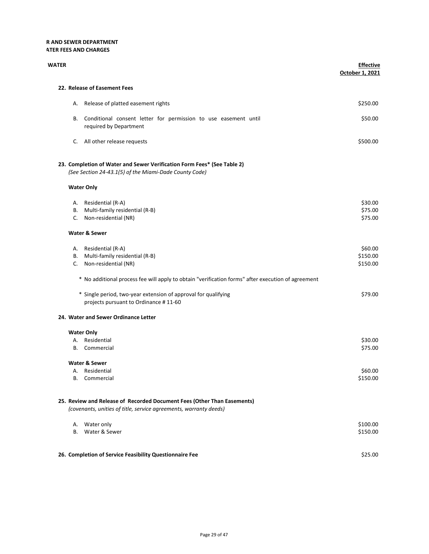#### **R AND SEWER DEPARTMENT ATER FEES AND CHARGES**

| WATER                                                                                                                             | <b>Effective</b><br>October 1, 2021 |
|-----------------------------------------------------------------------------------------------------------------------------------|-------------------------------------|
| 22. Release of Easement Fees                                                                                                      |                                     |
| Release of platted easement rights<br>А.                                                                                          | \$250.00                            |
| Conditional consent letter for permission to use easement until<br>В.<br>required by Department                                   | \$50.00                             |
| All other release requests<br>C.                                                                                                  | \$500.00                            |
| 23. Completion of Water and Sewer Verification Form Fees* (See Table 2)<br>(See Section 24-43.1(5) of the Miami-Dade County Code) |                                     |
| <b>Water Only</b>                                                                                                                 |                                     |
| Residential (R-A)<br>А.                                                                                                           | \$30.00                             |
| Multi-family residential (R-B)<br>В.                                                                                              | \$75.00                             |
| Non-residential (NR)<br>C.                                                                                                        | \$75.00                             |
| Water & Sewer                                                                                                                     |                                     |
| Residential (R-A)<br>А.                                                                                                           | \$60.00                             |
| Multi-family residential (R-B)<br>В.                                                                                              | \$150.00                            |
| Non-residential (NR)<br>C.                                                                                                        | \$150.00                            |
| * No additional process fee will apply to obtain "verification forms" after execution of agreement                                |                                     |
| * Single period, two-year extension of approval for qualifying<br>projects pursuant to Ordinance #11-60                           | \$79.00                             |
| 24. Water and Sewer Ordinance Letter                                                                                              |                                     |
| <b>Water Only</b>                                                                                                                 |                                     |
| Residential<br>А.                                                                                                                 | \$30.00                             |
| Commercial<br>В.                                                                                                                  | \$75.00                             |
| Water & Sewer                                                                                                                     |                                     |
| A. Residential                                                                                                                    | \$60.00                             |
| B. Commercial                                                                                                                     | \$150.00                            |
| 25. Review and Release of Recorded Document Fees (Other Than Easements)                                                           |                                     |
| (covenants, unities of title, service agreements, warranty deeds)                                                                 |                                     |
| A. Water only                                                                                                                     | \$100.00                            |
| Water & Sewer<br>В.                                                                                                               | \$150.00                            |
| 26. Completion of Service Feasibility Questionnaire Fee                                                                           | \$25.00                             |
|                                                                                                                                   |                                     |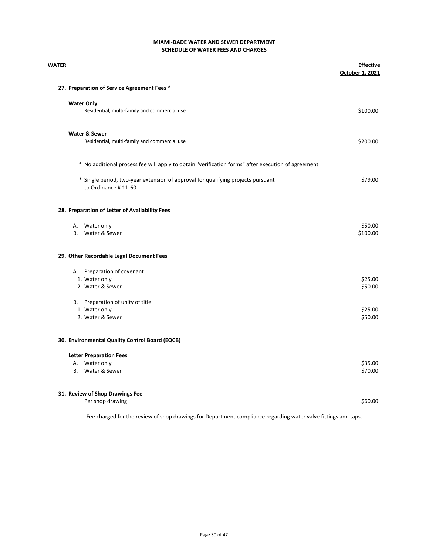| WATER |                                                                                                         | <b>Effective</b><br>October 1, 2021 |
|-------|---------------------------------------------------------------------------------------------------------|-------------------------------------|
|       | 27. Preparation of Service Agreement Fees *                                                             |                                     |
|       | <b>Water Only</b>                                                                                       |                                     |
|       | Residential, multi-family and commercial use                                                            | \$100.00                            |
|       | <b>Water &amp; Sewer</b>                                                                                |                                     |
|       | Residential, multi-family and commercial use                                                            | \$200.00                            |
|       | * No additional process fee will apply to obtain "verification forms" after execution of agreement      |                                     |
|       | * Single period, two-year extension of approval for qualifying projects pursuant<br>to Ordinance #11-60 | \$79.00                             |
|       | 28. Preparation of Letter of Availability Fees                                                          |                                     |
|       | A. Water only                                                                                           | \$50.00                             |
|       | B. Water & Sewer                                                                                        | \$100.00                            |
|       | 29. Other Recordable Legal Document Fees                                                                |                                     |
|       | A. Preparation of covenant                                                                              |                                     |
|       | 1. Water only                                                                                           | \$25.00                             |
|       | 2. Water & Sewer                                                                                        | \$50.00                             |
|       | B. Preparation of unity of title                                                                        |                                     |
|       | 1. Water only                                                                                           | \$25.00                             |
|       | 2. Water & Sewer                                                                                        | \$50.00                             |
|       | 30. Environmental Quality Control Board (EQCB)                                                          |                                     |
|       | <b>Letter Preparation Fees</b>                                                                          |                                     |
|       | A. Water only                                                                                           | \$35.00                             |
|       | B. Water & Sewer                                                                                        | \$70.00                             |
|       | 31. Review of Shop Drawings Fee                                                                         |                                     |
|       | Per shop drawing                                                                                        | \$60.00                             |

Fee charged for the review of shop drawings for Department compliance regarding water valve fittings and taps.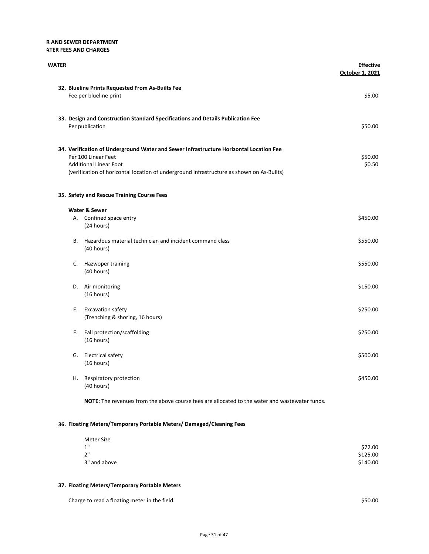#### **R AND SEWER DEPARTMENT ATER FEES AND CHARGES**

| WATER |    |                                                                                                                                                                                                                                             | <b>Effective</b><br>October 1, 2021 |
|-------|----|---------------------------------------------------------------------------------------------------------------------------------------------------------------------------------------------------------------------------------------------|-------------------------------------|
|       |    | 32. Blueline Prints Requested From As-Builts Fee<br>Fee per blueline print                                                                                                                                                                  | \$5.00                              |
|       |    | 33. Design and Construction Standard Specifications and Details Publication Fee<br>Per publication                                                                                                                                          | \$50.00                             |
|       |    | 34. Verification of Underground Water and Sewer Infrastructure Horizontal Location Fee<br>Per 100 Linear Feet<br><b>Additional Linear Foot</b><br>(verification of horizontal location of underground infrastructure as shown on As-Builts) | \$50.00<br>\$0.50                   |
|       |    | 35. Safety and Rescue Training Course Fees                                                                                                                                                                                                  |                                     |
|       |    | Water & Sewer<br>A. Confined space entry<br>(24 hours)                                                                                                                                                                                      | \$450.00                            |
|       | В. | Hazardous material technician and incident command class<br>(40 hours)                                                                                                                                                                      | \$550.00                            |
|       | C. | Hazwoper training<br>(40 hours)                                                                                                                                                                                                             | \$550.00                            |
|       |    | D. Air monitoring<br>(16 hours)                                                                                                                                                                                                             | \$150.00                            |
|       | Е. | <b>Excavation safety</b><br>(Trenching & shoring, 16 hours)                                                                                                                                                                                 | \$250.00                            |
|       |    | F. Fall protection/scaffolding<br>(16 hours)                                                                                                                                                                                                | \$250.00                            |
|       |    | G. Electrical safety<br>(16 hours)                                                                                                                                                                                                          | \$500.00                            |
|       |    | H. Respiratory protection<br>(40 hours)                                                                                                                                                                                                     | \$450.00                            |

**NOTE:** The revenues from the above course fees are allocated to the water and wastewater funds.

## **36. Floating Meters/Temporary Portable Meters/ Damaged/Cleaning Fees**

| Meter Size   |          |
|--------------|----------|
| 1"           | \$72.00  |
| 2"           | \$125.00 |
| 3" and above | \$140.00 |

#### **37. Floating Meters/Temporary Portable Meters**

Charge to read a floating meter in the field. <br>\$50.00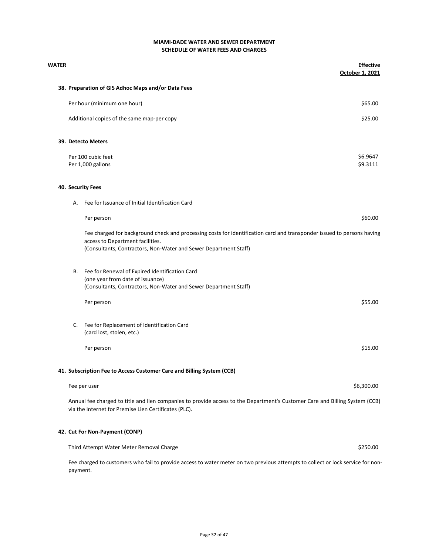| WATER |          |                                                                                                                                                                                                                                | <b>Effective</b><br>October 1, 2021 |
|-------|----------|--------------------------------------------------------------------------------------------------------------------------------------------------------------------------------------------------------------------------------|-------------------------------------|
|       |          | 38. Preparation of GIS Adhoc Maps and/or Data Fees                                                                                                                                                                             |                                     |
|       |          | Per hour (minimum one hour)                                                                                                                                                                                                    | \$65.00                             |
|       |          | Additional copies of the same map-per copy                                                                                                                                                                                     | \$25.00                             |
|       |          | 39. Detecto Meters                                                                                                                                                                                                             |                                     |
|       |          | Per 100 cubic feet                                                                                                                                                                                                             | \$6.9647                            |
|       |          | Per 1,000 gallons                                                                                                                                                                                                              | \$9.3111                            |
|       |          | 40. Security Fees                                                                                                                                                                                                              |                                     |
|       |          | A. Fee for Issuance of Initial Identification Card                                                                                                                                                                             |                                     |
|       |          | Per person                                                                                                                                                                                                                     | \$60.00                             |
|       |          | Fee charged for background check and processing costs for identification card and transponder issued to persons having<br>access to Department facilities.<br>(Consultants, Contractors, Non-Water and Sewer Department Staff) |                                     |
|       | В.       | Fee for Renewal of Expired Identification Card<br>(one year from date of issuance)<br>(Consultants, Contractors, Non-Water and Sewer Department Staff)                                                                         |                                     |
|       |          | Per person                                                                                                                                                                                                                     | \$55.00                             |
|       | C.       | Fee for Replacement of Identification Card<br>(card lost, stolen, etc.)                                                                                                                                                        |                                     |
|       |          | Per person                                                                                                                                                                                                                     | \$15.00                             |
|       |          | 41. Subscription Fee to Access Customer Care and Billing System (CCB)                                                                                                                                                          |                                     |
|       |          | Fee per user                                                                                                                                                                                                                   | \$6,300.00                          |
|       |          | Annual fee charged to title and lien companies to provide access to the Department's Customer Care and Billing System (CCB)<br>via the Internet for Premise Lien Certificates (PLC).                                           |                                     |
|       |          | 42. Cut For Non-Payment (CONP)                                                                                                                                                                                                 |                                     |
|       |          | Third Attempt Water Meter Removal Charge                                                                                                                                                                                       | \$250.00                            |
|       | payment. | Fee charged to customers who fail to provide access to water meter on two previous attempts to collect or lock service for non-                                                                                                |                                     |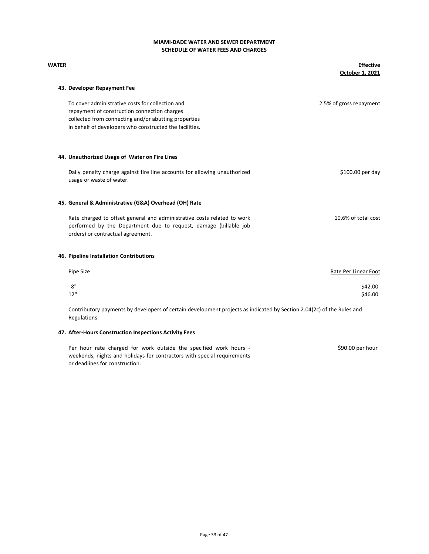## **SCHEDULE OF WATER FEES AND CHARGES MIAMI-DADE WATER AND SEWER DEPARTMENT**

| WATER |                                                                                                                                                                                                                     | <b>Effective</b><br>October 1, 2021 |
|-------|---------------------------------------------------------------------------------------------------------------------------------------------------------------------------------------------------------------------|-------------------------------------|
|       | 43. Developer Repayment Fee                                                                                                                                                                                         |                                     |
|       | To cover administrative costs for collection and<br>repayment of construction connection charges<br>collected from connecting and/or abutting properties<br>in behalf of developers who constructed the facilities. | 2.5% of gross repayment             |
|       | 44. Unauthorized Usage of Water on Fire Lines                                                                                                                                                                       |                                     |
|       | Daily penalty charge against fire line accounts for allowing unauthorized<br>usage or waste of water.                                                                                                               | \$100.00 per day                    |
|       | 45. General & Administrative (G&A) Overhead (OH) Rate                                                                                                                                                               |                                     |
|       | Rate charged to offset general and administrative costs related to work<br>performed by the Department due to request, damage (billable job<br>orders) or contractual agreement.                                    | 10.6% of total cost                 |
|       | 46. Pipeline Installation Contributions                                                                                                                                                                             |                                     |
|       | Pipe Size                                                                                                                                                                                                           | Rate Per Linear Foot                |
|       | 8"<br>12"                                                                                                                                                                                                           | \$42.00<br>\$46.00                  |
|       | Contributory nayments by developers of certain development projects as indicated by Section 2012c) of the Rules and                                                                                                 |                                     |

Contributory payments by developers of certain development projects as indicated by Section 2.04(2c) of the Rules and Regulations.

#### **47. After-Hours Construction Inspections Activity Fees**

\$90.00 per hour Per hour rate charged for work outside the specified work hours weekends, nights and holidays for contractors with special requirements or deadlines for construction.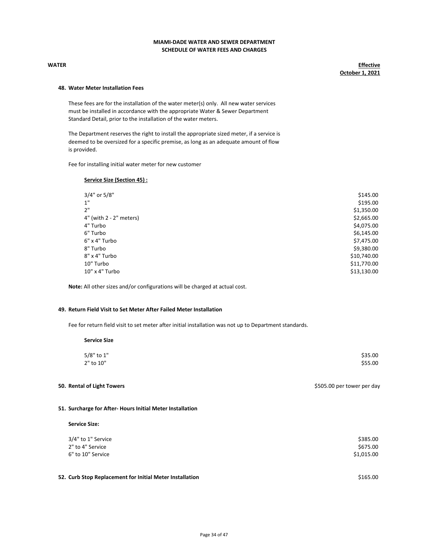**WATER Effective October 1, 2021**

#### **48. Water Meter Installation Fees**

These fees are for the installation of the water meter(s) only. All new water services must be installed in accordance with the appropriate Water & Sewer Department Standard Detail, prior to the installation of the water meters.

The Department reserves the right to install the appropriate sized meter, if a service is deemed to be oversized for a specific premise, as long as an adequate amount of flow is provided.

Fee for installing initial water meter for new customer

#### **Service Size (Section 45) :**

| 3/4" or 5/8"            | \$145.00    |
|-------------------------|-------------|
| 1"                      | \$195.00    |
| 2"                      | \$1,350.00  |
| 4" (with 2 - 2" meters) | \$2,665.00  |
| 4" Turbo                | \$4,075.00  |
| 6" Turbo                | \$6,145.00  |
| 6" x 4" Turbo           | \$7,475.00  |
| 8" Turbo                | \$9,380.00  |
| 8" x 4" Turbo           | \$10,740.00 |
| 10" Turbo               | \$11,770.00 |
| 10" x 4" Turbo          | \$13,130.00 |
|                         |             |

**Note:** All other sizes and/or configurations will be charged at actual cost.

#### **49. Return Field Visit to Set Meter After Failed Meter Installation**

Fee for return field visit to set meter after initial installation was not up to Department standards.

| <b>Service Size</b>     |                    |
|-------------------------|--------------------|
| 5/8" to 1"<br>2" to 10" | \$35.00<br>\$55.00 |

**50. Rental of Light Towers but the set of the set of the set of the set of the set of the set of the set of the set of the set of the set of the set of the set of the set of the set of the set of the set of the set of t** 

#### **51. Surcharge for After- Hours Initial Meter Installation**

#### **Service Size:**

| 3/4" to 1" Service | \$385.00   |
|--------------------|------------|
| 2" to 4" Service   | \$675.00   |
| 6" to 10" Service  | \$1,015.00 |
|                    |            |
|                    |            |

# **52. Curb Stop Replacement for Initial Meter Installation 6165.00** \$165.00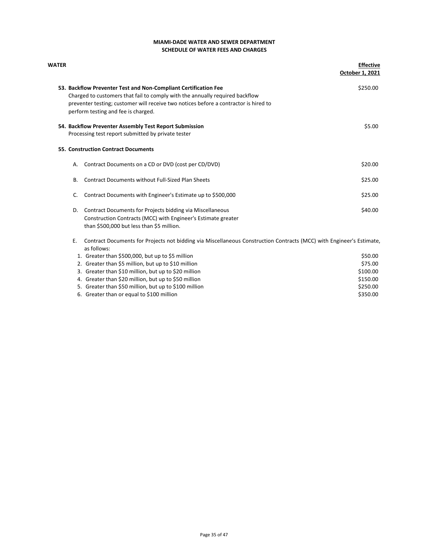| WATER |    |                                                                                                                                                                                                                                                                                | <b>Effective</b><br>October 1, 2021 |
|-------|----|--------------------------------------------------------------------------------------------------------------------------------------------------------------------------------------------------------------------------------------------------------------------------------|-------------------------------------|
|       |    | 53. Backflow Preventer Test and Non-Compliant Certification Fee<br>Charged to customers that fail to comply with the annually required backflow<br>preventer testing; customer will receive two notices before a contractor is hired to<br>perform testing and fee is charged. | \$250.00                            |
|       |    | 54. Backflow Preventer Assembly Test Report Submission<br>Processing test report submitted by private tester                                                                                                                                                                   | \$5.00                              |
|       |    | <b>55. Construction Contract Documents</b>                                                                                                                                                                                                                                     |                                     |
|       | А. | Contract Documents on a CD or DVD (cost per CD/DVD)                                                                                                                                                                                                                            | \$20.00                             |
|       | В. | <b>Contract Documents without Full-Sized Plan Sheets</b>                                                                                                                                                                                                                       | \$25.00                             |
|       | C. | Contract Documents with Engineer's Estimate up to \$500,000                                                                                                                                                                                                                    | \$25.00                             |
|       | D. | Contract Documents for Projects bidding via Miscellaneous<br>Construction Contracts (MCC) with Engineer's Estimate greater<br>than \$500,000 but less than \$5 million.                                                                                                        | \$40.00                             |
|       | Ε. | Contract Documents for Projects not bidding via Miscellaneous Construction Contracts (MCC) with Engineer's Estimate,<br>as follows:                                                                                                                                            |                                     |
|       |    | 1. Greater than \$500,000, but up to \$5 million                                                                                                                                                                                                                               | \$50.00                             |
|       |    | 2. Greater than \$5 million, but up to \$10 million                                                                                                                                                                                                                            | \$75.00                             |
|       |    | 3. Greater than \$10 million, but up to \$20 million                                                                                                                                                                                                                           | \$100.00                            |
|       |    | 4. Greater than \$20 million, but up to \$50 million                                                                                                                                                                                                                           | \$150.00                            |
|       |    | 5. Greater than \$50 million, but up to \$100 million                                                                                                                                                                                                                          | \$250.00                            |
|       |    | 6. Greater than or equal to \$100 million                                                                                                                                                                                                                                      | \$350.00                            |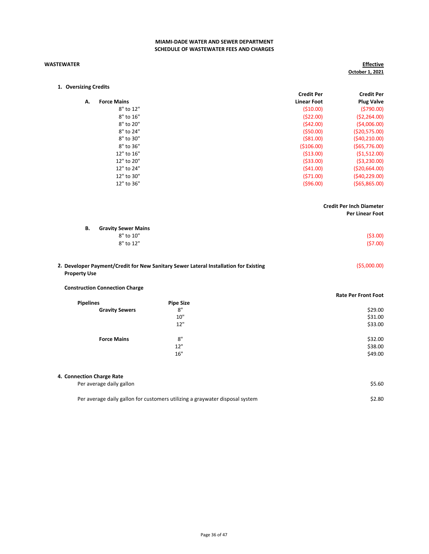#### **WASTEWATER**

**Effective October 1, 2021**

| 1. Oversizing Credits |                                                                                      |                    |                                 |
|-----------------------|--------------------------------------------------------------------------------------|--------------------|---------------------------------|
|                       |                                                                                      | <b>Credit Per</b>  | <b>Credit Per</b>               |
| А.                    | <b>Force Mains</b>                                                                   | <b>Linear Foot</b> | <b>Plug Valve</b>               |
|                       | 8" to 12"                                                                            | (510.00)           | (5790.00)                       |
|                       | 8" to 16"                                                                            | (\$22.00)          | (52, 264.00)                    |
|                       | 8" to 20"                                                                            | (542.00)           | ( \$4,006.00)                   |
|                       | 8" to 24"                                                                            | (550.00)           | (\$20,575.00)                   |
|                       | 8" to 30"                                                                            | ( \$81.00)         | (540, 210.00)                   |
|                       | 8" to 36"                                                                            | ( \$106.00)        | (565,776.00)                    |
|                       | 12" to 16"                                                                           | ( \$13.00)         | ( \$1,512.00)                   |
|                       | 12" to 20"                                                                           | (533.00)           | ( \$3,230.00)                   |
|                       | 12" to 24"                                                                           | (541.00)           | ( \$20,664.00)                  |
|                       | 12" to 30"                                                                           | (571.00)           | (540, 229.00)                   |
|                       | 12" to 36"                                                                           | ( \$96.00)         | ( \$65, 865.00)                 |
|                       |                                                                                      |                    | <b>Credit Per Inch Diameter</b> |
|                       |                                                                                      |                    | Per Linear Foot                 |
| В.                    | <b>Gravity Sewer Mains</b>                                                           |                    |                                 |
|                       | 8" to 10"                                                                            |                    | ( \$3.00)                       |
|                       | 8" to 12"                                                                            |                    | (57.00)                         |
|                       | 2. Developer Payment/Credit for New Sanitary Sewer Lateral Installation for Existing |                    | ( \$5,000.00)                   |

# **Property Use**

# **Construction Connection Charge**

|                       |                  | <b>Rate Per Front Foot</b> |
|-----------------------|------------------|----------------------------|
| <b>Pipelines</b>      | <b>Pipe Size</b> |                            |
| <b>Gravity Sewers</b> | 8"               | \$29.00                    |
|                       | 10"              | \$31.00                    |
|                       | 12"              | \$33.00                    |
| <b>Force Mains</b>    | 8"               | \$32.00                    |
|                       | 12"              | \$38.00                    |
|                       | 16"              | \$49.00                    |
|                       |                  |                            |

| 4. Connection Charge Rate |                                                                              |        |
|---------------------------|------------------------------------------------------------------------------|--------|
|                           | Per average daily gallon                                                     | \$5.60 |
|                           | Per average daily gallon for customers utilizing a graywater disposal system | \$2.80 |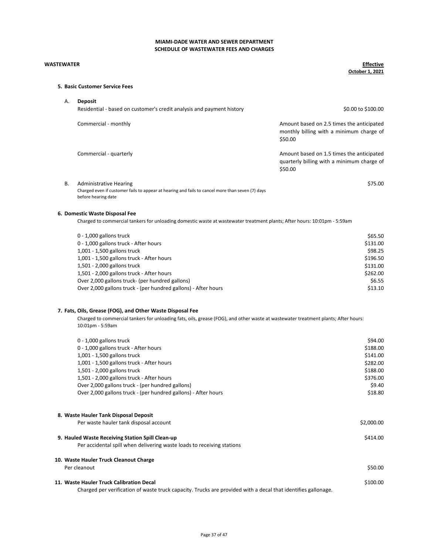#### **WASTEWATER**

**Effective October 1, 2021**

#### **5. Basic Customer Service Fees**

| Α. | <b>Deposit</b><br>Residential - based on customer's credit analysis and payment history                                                                  | \$0.00 to \$100.00                                                                                 |
|----|----------------------------------------------------------------------------------------------------------------------------------------------------------|----------------------------------------------------------------------------------------------------|
|    | Commercial - monthly                                                                                                                                     | Amount based on 2.5 times the anticipated<br>monthly billing with a minimum charge of<br>\$50.00   |
|    | Commercial - quarterly                                                                                                                                   | Amount based on 1.5 times the anticipated<br>quarterly billing with a minimum charge of<br>\$50.00 |
| В. | <b>Administrative Hearing</b><br>Charged even if customer fails to appear at hearing and fails to cancel more than seven (7) days<br>before hearing date | \$75.00                                                                                            |
|    | 6. Domestic Waste Disposal Fee                                                                                                                           |                                                                                                    |
|    | Charged to commercial tankers for unloading domestic waste at wastewater treatment plants; After hours: 10:01pm - 5:59am                                 |                                                                                                    |
|    | $0 - 1,000$ gallons truck                                                                                                                                | \$65.50                                                                                            |
|    | 0 - 1,000 gallons truck - After hours                                                                                                                    | \$131.00                                                                                           |
|    | 1,001 - 1,500 gallons truck                                                                                                                              | \$98.25                                                                                            |
|    | 1,001 - 1,500 gallons truck - After hours                                                                                                                | \$196.50                                                                                           |
|    | 1,501 - 2,000 gallons truck                                                                                                                              | \$131.00                                                                                           |
|    | 1,501 - 2,000 gallons truck - After hours                                                                                                                | \$262.00                                                                                           |
|    | Over 2,000 gallons truck- (per hundred gallons)                                                                                                          | \$6.55                                                                                             |
|    | Over 2,000 gallons truck - (per hundred gallons) - After hours                                                                                           | \$13.10                                                                                            |

#### **7. Fats, Oils, Grease (FOG), and Other Waste Disposal Fee**

Charged to commercial tankers for unloading fats, oils, grease (FOG), and other waste at wastewater treatment plants; After hours: 10:01pm - 5:59am

| $0 - 1,000$ gallons truck                                                                                     | \$94.00    |
|---------------------------------------------------------------------------------------------------------------|------------|
| 0 - 1,000 gallons truck - After hours                                                                         | \$188.00   |
| 1,001 - 1,500 gallons truck                                                                                   | \$141.00   |
| 1,001 - 1,500 gallons truck - After hours                                                                     | \$282.00   |
| 1,501 - 2,000 gallons truck                                                                                   | \$188.00   |
| 1,501 - 2,000 gallons truck - After hours                                                                     | \$376.00   |
| Over 2,000 gallons truck - (per hundred gallons)                                                              | \$9.40     |
| Over 2,000 gallons truck - (per hundred gallons) - After hours                                                | \$18.80    |
| 8. Waste Hauler Tank Disposal Deposit                                                                         |            |
| Per waste hauler tank disposal account                                                                        | \$2,000.00 |
| 9. Hauled Waste Receiving Station Spill Clean-up                                                              | \$414.00   |
| Per accidental spill when delivering waste loads to receiving stations                                        |            |
| 10. Waste Hauler Truck Cleanout Charge                                                                        |            |
| Per cleanout                                                                                                  | \$50.00    |
| 11. Waste Hauler Truck Calibration Decal                                                                      | \$100.00   |
| Charged per verification of waste truck capacity. Trucks are provided with a decal that identifies gallonage. |            |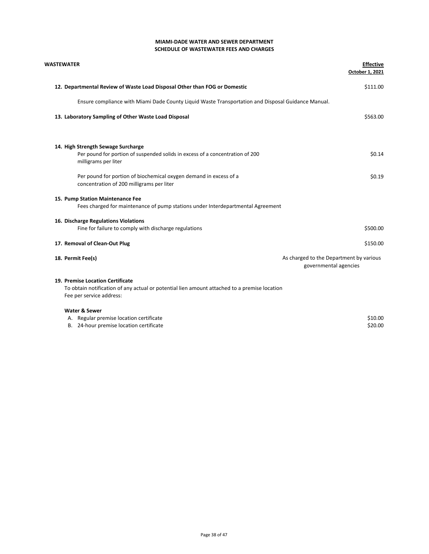| <b>WASTEWATER</b>                                                                                                   | <b>Effective</b><br>October 1, 2021                              |
|---------------------------------------------------------------------------------------------------------------------|------------------------------------------------------------------|
| 12. Departmental Review of Waste Load Disposal Other than FOG or Domestic                                           | \$111.00                                                         |
| Ensure compliance with Miami Dade County Liquid Waste Transportation and Disposal Guidance Manual.                  |                                                                  |
| 13. Laboratory Sampling of Other Waste Load Disposal                                                                | \$563.00                                                         |
| 14. High Strength Sewage Surcharge<br>Per pound for portion of suspended solids in excess of a concentration of 200 | \$0.14                                                           |
| milligrams per liter                                                                                                |                                                                  |
| Per pound for portion of biochemical oxygen demand in excess of a<br>concentration of 200 milligrams per liter      | \$0.19                                                           |
| 15. Pump Station Maintenance Fee<br>Fees charged for maintenance of pump stations under Interdepartmental Agreement |                                                                  |
| 16. Discharge Regulations Violations                                                                                |                                                                  |
| Fine for failure to comply with discharge regulations                                                               | \$500.00                                                         |
| 17. Removal of Clean-Out Plug                                                                                       | \$150.00                                                         |
| 18. Permit Fee(s)                                                                                                   | As charged to the Department by various<br>governmental agencies |
| 19. Premise Location Certificate                                                                                    |                                                                  |
| To obtain notification of any actual or potential lien amount attached to a premise location                        |                                                                  |
| Fee per service address:                                                                                            |                                                                  |
| <b>Water &amp; Sewer</b>                                                                                            |                                                                  |
| A. Regular premise location certificate                                                                             | \$10.00                                                          |
| B. 24-hour premise location certificate                                                                             | \$20.00                                                          |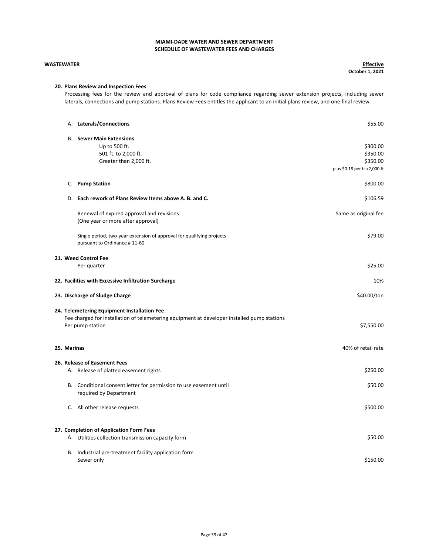#### **WASTEWATER**

**Effective October 1, 2021**

#### **20. Plans Review and Inspection Fees**

Processing fees for the review and approval of plans for code compliance regarding sewer extension projects, including sewer laterals, connections and pump stations. Plans Review Fees entitles the applicant to an initial plans review, and one final review.

|             | A. Laterals/Connections                                                                               | \$55.00                      |
|-------------|-------------------------------------------------------------------------------------------------------|------------------------------|
|             | <b>B.</b> Sewer Main Extensions                                                                       |                              |
|             | Up to 500 ft.                                                                                         | \$300.00                     |
|             | 501 ft. to 2,000 ft.                                                                                  | \$350.00                     |
|             | Greater than 2,000 ft.                                                                                | \$350.00                     |
|             |                                                                                                       |                              |
|             |                                                                                                       | plus \$0.18 per ft >2,000 ft |
|             | C. Pump Station                                                                                       | \$800.00                     |
|             | D. Each rework of Plans Review Items above A, B, and C.                                               | \$106.59                     |
|             | Renewal of expired approval and revisions                                                             | Same as original fee         |
|             | (One year or more after approval)                                                                     |                              |
|             | Single period, two-year extension of approval for qualifying projects<br>pursuant to Ordinance #11-60 | \$79.00                      |
|             |                                                                                                       |                              |
|             | 21. Weed Control Fee                                                                                  |                              |
|             | Per quarter                                                                                           | \$25.00                      |
|             | 22. Facilities with Excessive Infiltration Surcharge                                                  | 10%                          |
|             | 23. Discharge of Sludge Charge                                                                        | \$40.00/ton                  |
|             | 24. Telemetering Equipment Installation Fee                                                           |                              |
|             | Fee charged for installation of telemetering equipment at developer installed pump stations           |                              |
|             | Per pump station                                                                                      | \$7,550.00                   |
|             |                                                                                                       |                              |
| 25. Marinas |                                                                                                       | 40% of retail rate           |
|             |                                                                                                       |                              |
|             | 26. Release of Easement Fees                                                                          |                              |
|             | A. Release of platted easement rights                                                                 | \$250.00                     |
|             | B. Conditional consent letter for permission to use easement until                                    | \$50.00                      |
|             | required by Department                                                                                |                              |
|             | C. All other release requests                                                                         | \$500.00                     |
|             |                                                                                                       |                              |
|             | 27. Completion of Application Form Fees                                                               |                              |
|             | A. Utilities collection transmission capacity form                                                    | \$50.00                      |
|             | B. Industrial pre-treatment facility application form                                                 |                              |
|             | Sewer only                                                                                            | \$150.00                     |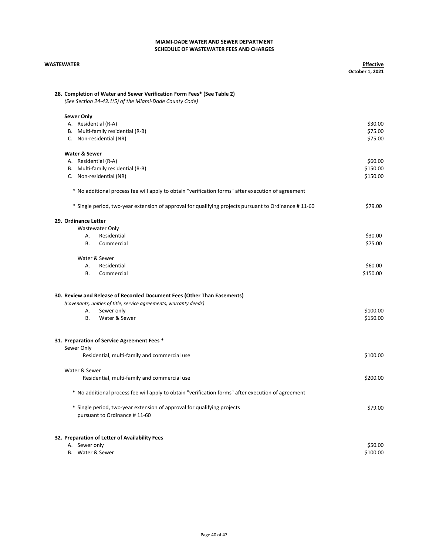| <b>WASTEWATER</b>                                                                                                                 | <b>Effective</b><br>October 1, 2021 |  |
|-----------------------------------------------------------------------------------------------------------------------------------|-------------------------------------|--|
| 28. Completion of Water and Sewer Verification Form Fees* (See Table 2)<br>(See Section 24-43.1(5) of the Miami-Dade County Code) |                                     |  |
| <b>Sewer Only</b>                                                                                                                 |                                     |  |
| A. Residential (R-A)                                                                                                              | \$30.00                             |  |
| B. Multi-family residential (R-B)                                                                                                 | \$75.00                             |  |
| C. Non-residential (NR)                                                                                                           | \$75.00                             |  |
| <b>Water &amp; Sewer</b>                                                                                                          |                                     |  |
| A. Residential (R-A)                                                                                                              | \$60.00                             |  |
| B. Multi-family residential (R-B)                                                                                                 | \$150.00                            |  |
| C. Non-residential (NR)                                                                                                           | \$150.00                            |  |
| * No additional process fee will apply to obtain "verification forms" after execution of agreement                                |                                     |  |
| * Single period, two-year extension of approval for qualifying projects pursuant to Ordinance #11-60                              | \$79.00                             |  |
| 29. Ordinance Letter                                                                                                              |                                     |  |
| Wastewater Only                                                                                                                   |                                     |  |
| Α.<br>Residential                                                                                                                 | \$30.00                             |  |
| B.<br>Commercial                                                                                                                  | \$75.00                             |  |
| Water & Sewer                                                                                                                     |                                     |  |
| Α.<br>Residential                                                                                                                 | \$60.00                             |  |
| <b>B.</b><br>Commercial                                                                                                           | \$150.00                            |  |
| 30. Review and Release of Recorded Document Fees (Other Than Easements)                                                           |                                     |  |
| (Covenants, unities of title, service agreements, warranty deeds)                                                                 |                                     |  |
| А.<br>Sewer only                                                                                                                  | \$100.00                            |  |
| Water & Sewer<br>В.                                                                                                               | \$150.00                            |  |
|                                                                                                                                   |                                     |  |
| 31. Preparation of Service Agreement Fees *                                                                                       |                                     |  |
| Sewer Only<br>Residential, multi-family and commercial use                                                                        | \$100.00                            |  |
|                                                                                                                                   |                                     |  |
| Water & Sewer                                                                                                                     |                                     |  |
| Residential, multi-family and commercial use                                                                                      | \$200.00                            |  |
| * No additional process fee will apply to obtain "verification forms" after execution of agreement                                |                                     |  |
| * Single period, two-year extension of approval for qualifying projects<br>pursuant to Ordinance #11-60                           | \$79.00                             |  |
|                                                                                                                                   |                                     |  |
| 32. Preparation of Letter of Availability Fees                                                                                    |                                     |  |
| A. Sewer only                                                                                                                     | \$50.00                             |  |
| B. Water & Sewer                                                                                                                  | \$100.00                            |  |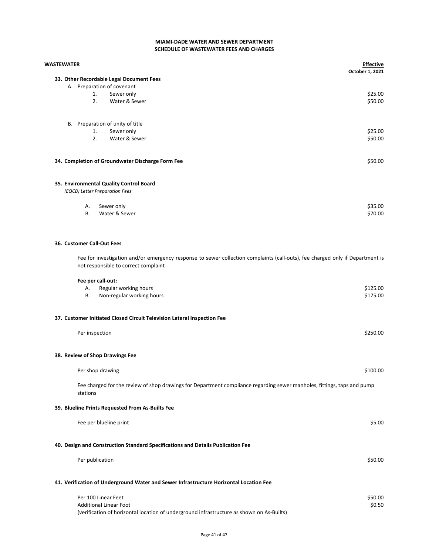| WASTEWATER                      |                                                                                        |  | <b>Effective</b><br>October 1, 2021                                                                                           |
|---------------------------------|----------------------------------------------------------------------------------------|--|-------------------------------------------------------------------------------------------------------------------------------|
|                                 | 33. Other Recordable Legal Document Fees                                               |  |                                                                                                                               |
|                                 | A. Preparation of covenant                                                             |  |                                                                                                                               |
| 1.                              | Sewer only                                                                             |  | \$25.00                                                                                                                       |
| 2.                              | Water & Sewer                                                                          |  | \$50.00                                                                                                                       |
|                                 | B. Preparation of unity of title                                                       |  |                                                                                                                               |
| 1.                              | Sewer only                                                                             |  | \$25.00                                                                                                                       |
| 2.                              | Water & Sewer                                                                          |  | \$50.00                                                                                                                       |
|                                 | 34. Completion of Groundwater Discharge Form Fee                                       |  | \$50.00                                                                                                                       |
| (EQCB) Letter Preparation Fees  | 35. Environmental Quality Control Board                                                |  |                                                                                                                               |
|                                 |                                                                                        |  |                                                                                                                               |
| А.                              | Sewer only                                                                             |  | \$35.00                                                                                                                       |
| В.                              | Water & Sewer                                                                          |  | \$70.00                                                                                                                       |
| 36. Customer Call-Out Fees      |                                                                                        |  |                                                                                                                               |
|                                 | not responsible to correct complaint                                                   |  | Fee for investigation and/or emergency response to sewer collection complaints (call-outs), fee charged only if Department is |
| Fee per call-out:               |                                                                                        |  |                                                                                                                               |
| A.                              | Regular working hours                                                                  |  | \$125.00                                                                                                                      |
| В.                              | Non-regular working hours                                                              |  | \$175.00                                                                                                                      |
|                                 | 37. Customer Initiated Closed Circuit Television Lateral Inspection Fee                |  |                                                                                                                               |
| Per inspection                  |                                                                                        |  | \$250.00                                                                                                                      |
| 38. Review of Shop Drawings Fee |                                                                                        |  |                                                                                                                               |
| Per shop drawing                |                                                                                        |  | \$100.00                                                                                                                      |
| stations                        |                                                                                        |  | Fee charged for the review of shop drawings for Department compliance regarding sewer manholes, fittings, taps and pump       |
|                                 | 39. Blueline Prints Requested From As-Builts Fee                                       |  |                                                                                                                               |
|                                 | Fee per blueline print                                                                 |  | \$5.00                                                                                                                        |
|                                 | 40. Design and Construction Standard Specifications and Details Publication Fee        |  |                                                                                                                               |
| Per publication                 |                                                                                        |  | \$50.00                                                                                                                       |
|                                 | 41. Verification of Underground Water and Sewer Infrastructure Horizontal Location Fee |  |                                                                                                                               |

| Per 100 Linear Feet                                                                       | \$50.00 |
|-------------------------------------------------------------------------------------------|---------|
| <b>Additional Linear Foot</b>                                                             | \$0.50  |
| (verification of horizontal location of underground infrastructure as shown on As-Builts) |         |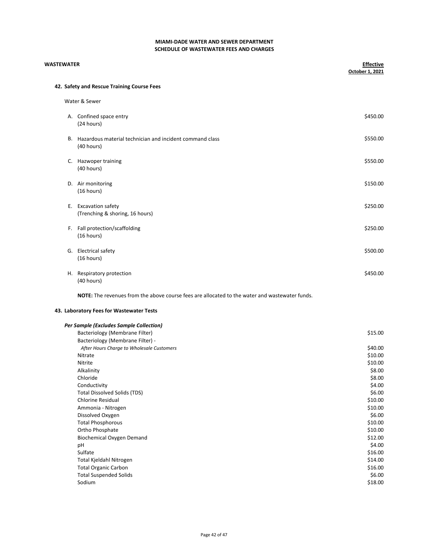| <b>WASTEWATER</b> |                                                                                                | <b>Effective</b><br>October 1, 2021 |
|-------------------|------------------------------------------------------------------------------------------------|-------------------------------------|
|                   | 42. Safety and Rescue Training Course Fees                                                     |                                     |
|                   | Water & Sewer                                                                                  |                                     |
|                   | A. Confined space entry<br>(24 hours)                                                          | \$450.00                            |
|                   | B. Hazardous material technician and incident command class<br>(40 hours)                      | \$550.00                            |
|                   | C. Hazwoper training<br>(40 hours)                                                             | \$550.00                            |
|                   | D. Air monitoring<br>(16 hours)                                                                | \$150.00                            |
|                   | E. Excavation safety<br>(Trenching & shoring, 16 hours)                                        | \$250.00                            |
|                   | F. Fall protection/scaffolding<br>(16 hours)                                                   | \$250.00                            |
|                   | G. Electrical safety<br>(16 hours)                                                             | \$500.00                            |
|                   | H. Respiratory protection<br>(40 hours)                                                        | \$450.00                            |
|                   | NOTE: The revenues from the above course fees are allocated to the water and wastewater funds. |                                     |

## **43. Laboratory Fees for Wastewater Tests**

| Per Sample (Excludes Sample Collection)   |         |
|-------------------------------------------|---------|
| Bacteriology (Membrane Filter)            | \$15.00 |
| Bacteriology (Membrane Filter) -          |         |
| After Hours Charge to Wholesale Customers | \$40.00 |
| Nitrate                                   | \$10.00 |
| Nitrite                                   | \$10.00 |
| Alkalinity                                | \$8.00  |
| Chloride                                  | \$8.00  |
| Conductivity                              | \$4.00  |
| <b>Total Dissolved Solids (TDS)</b>       | \$6.00  |
| <b>Chlorine Residual</b>                  | \$10.00 |
| Ammonia - Nitrogen                        | \$10.00 |
| Dissolved Oxygen                          | \$6.00  |
| <b>Total Phosphorous</b>                  | \$10.00 |
| Ortho Phosphate                           | \$10.00 |
| Biochemical Oxygen Demand                 | \$12.00 |
| pH                                        | \$4.00  |
| Sulfate                                   | \$16.00 |
| Total Kjeldahl Nitrogen                   | \$14.00 |
| <b>Total Organic Carbon</b>               | \$16.00 |
| <b>Total Suspended Solids</b>             | \$6.00  |
| Sodium                                    | \$18.00 |
|                                           |         |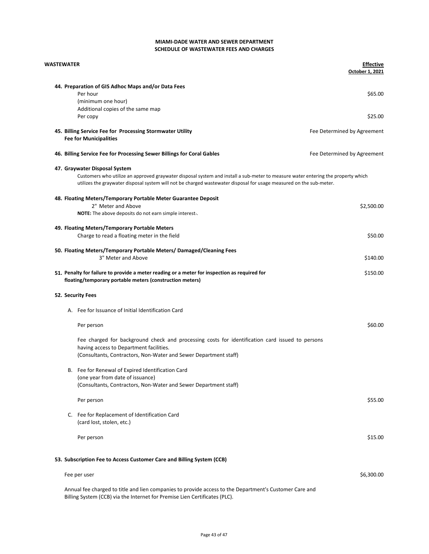| <b>WASTEWATER</b>                                                                                                                                                                                                                                                                        | <b>Effective</b><br>October 1, 2021 |
|------------------------------------------------------------------------------------------------------------------------------------------------------------------------------------------------------------------------------------------------------------------------------------------|-------------------------------------|
| 44. Preparation of GIS Adhoc Maps and/or Data Fees<br>Per hour<br>(minimum one hour)                                                                                                                                                                                                     | \$65.00                             |
| Additional copies of the same map<br>Per copy                                                                                                                                                                                                                                            | \$25.00                             |
| 45. Billing Service Fee for Processing Stormwater Utility<br><b>Fee for Municipalities</b>                                                                                                                                                                                               | Fee Determined by Agreement         |
| 46. Billing Service Fee for Processing Sewer Billings for Coral Gables                                                                                                                                                                                                                   | Fee Determined by Agreement         |
| 47. Graywater Disposal System<br>Customers who utilize an approved graywater disposal system and install a sub-meter to measure water entering the property which<br>utilizes the graywater disposal system will not be charged wastewater disposal for usage measured on the sub-meter. |                                     |
| 48. Floating Meters/Temporary Portable Meter Guarantee Deposit<br>2" Meter and Above                                                                                                                                                                                                     | \$2,500.00                          |
| <b>NOTE:</b> The above deposits do not earn simple interest-.                                                                                                                                                                                                                            |                                     |
| 49. Floating Meters/Temporary Portable Meters<br>Charge to read a floating meter in the field                                                                                                                                                                                            | \$50.00                             |
| 50. Floating Meters/Temporary Portable Meters/ Damaged/Cleaning Fees<br>3" Meter and Above                                                                                                                                                                                               | \$140.00                            |
| 51. Penalty for failure to provide a meter reading or a meter for inspection as required for<br>floating/temporary portable meters (construction meters)                                                                                                                                 | \$150.00                            |
| 52. Security Fees<br>A. Fee for Issuance of Initial Identification Card                                                                                                                                                                                                                  |                                     |
| Per person                                                                                                                                                                                                                                                                               | \$60.00                             |
| Fee charged for background check and processing costs for identification card issued to persons<br>having access to Department facilities.<br>(Consultants, Contractors, Non-Water and Sewer Department staff)                                                                           |                                     |
| B. Fee for Renewal of Expired Identification Card<br>(one year from date of issuance)<br>(Consultants, Contractors, Non-Water and Sewer Department staff)                                                                                                                                |                                     |
| Per person                                                                                                                                                                                                                                                                               | \$55.00                             |
| C. Fee for Replacement of Identification Card<br>(card lost, stolen, etc.)                                                                                                                                                                                                               |                                     |
| Per person                                                                                                                                                                                                                                                                               | \$15.00                             |
| 53. Subscription Fee to Access Customer Care and Billing System (CCB)                                                                                                                                                                                                                    |                                     |
| Fee per user                                                                                                                                                                                                                                                                             | \$6,300.00                          |
| Annual fee charged to title and lien companies to provide access to the Department's Customer Care and<br>Billing System (CCB) via the Internet for Premise Lien Certificates (PLC).                                                                                                     |                                     |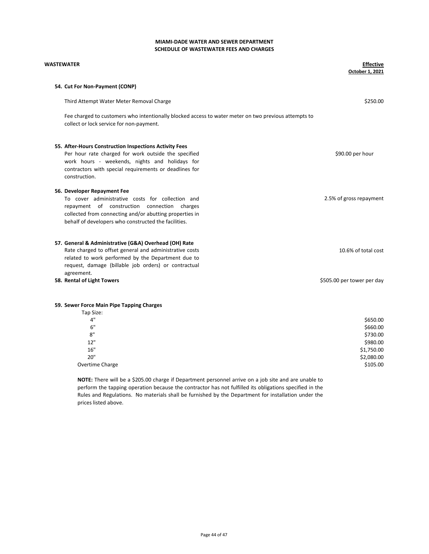| <b>WASTEWATER</b>                                                                                                                                                                                                                                  | <b>Effective</b><br>October 1, 2021 |
|----------------------------------------------------------------------------------------------------------------------------------------------------------------------------------------------------------------------------------------------------|-------------------------------------|
| 54. Cut For Non-Payment (CONP)                                                                                                                                                                                                                     |                                     |
| Third Attempt Water Meter Removal Charge                                                                                                                                                                                                           | \$250.00                            |
| Fee charged to customers who intentionally blocked access to water meter on two previous attempts to<br>collect or lock service for non-payment.                                                                                                   |                                     |
| 55. After-Hours Construction Inspections Activity Fees<br>Per hour rate charged for work outside the specified<br>work hours - weekends, nights and holidays for<br>contractors with special requirements or deadlines for<br>construction.        | \$90.00 per hour                    |
| 56. Developer Repayment Fee<br>To cover administrative costs for collection and<br>repayment of construction connection charges<br>collected from connecting and/or abutting properties in<br>behalf of developers who constructed the facilities. | 2.5% of gross repayment             |
| 57. General & Administrative (G&A) Overhead (OH) Rate<br>Rate charged to offset general and administrative costs<br>related to work performed by the Department due to<br>request, damage (billable job orders) or contractual<br>agreement.       | 10.6% of total cost                 |
| 58. Rental of Light Towers                                                                                                                                                                                                                         | \$505.00 per tower per day          |
| 59. Sewer Force Main Pipe Tapping Charges<br>Tap Size:<br>4"<br>$\sim$ 11                                                                                                                                                                          | \$650.00<br>$\lambda$ cco oo        |

| ┱.              | -----      |
|-----------------|------------|
| 6"              | \$660.00   |
| 8"              | \$730.00   |
| 12"             | \$980.00   |
| 16"             | \$1,750.00 |
| 20"             | \$2,080.00 |
| Overtime Charge | \$105.00   |
|                 |            |

**NOTE:** There will be a \$205.00 charge if Department personnel arrive on a job site and are unable to perform the tapping operation because the contractor has not fulfilled its obligations specified in the Rules and Regulations. No materials shall be furnished by the Department for installation under the prices listed above.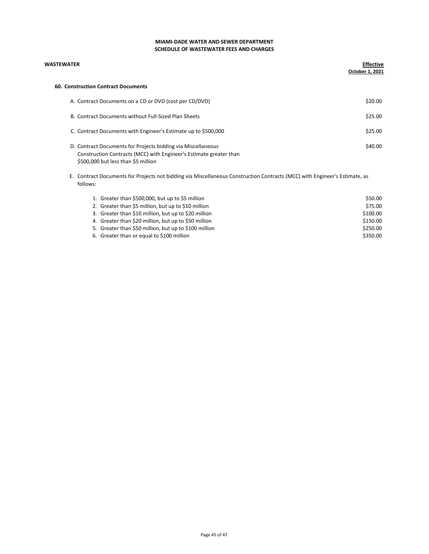| <b>WASTEWATER</b>                                                                                                                                                         | <b>Effective</b><br>October 1, 2021 |
|---------------------------------------------------------------------------------------------------------------------------------------------------------------------------|-------------------------------------|
| <b>60. Construction Contract Documents</b>                                                                                                                                |                                     |
| A. Contract Documents on a CD or DVD (cost per CD/DVD)                                                                                                                    | \$20.00                             |
| B. Contract Documents without Full-Sized Plan Sheets                                                                                                                      | \$25.00                             |
| C. Contract Documents with Engineer's Estimate up to \$500,000                                                                                                            | \$25.00                             |
| D. Contract Documents for Projects bidding via Miscellaneous<br>Construction Contracts (MCC) with Engineer's Estimate greater than<br>\$500,000 but less than \$5 million | \$40.00                             |
| E. Contract Documents for Projects not bidding via Miscellaneous Construction Contracts (MCC) with Engineer's Estimate, as<br>follows:                                    |                                     |

| 1. Greater than \$500,000, but up to \$5 million      | \$50.00  |
|-------------------------------------------------------|----------|
| 2. Greater than \$5 million, but up to \$10 million   | \$75.00  |
| 3. Greater than \$10 million, but up to \$20 million  | \$100.00 |
| 4. Greater than \$20 million, but up to \$50 million  | \$150.00 |
| 5. Greater than \$50 million, but up to \$100 million | \$250.00 |
| 6. Greater than or equal to \$100 million             | \$350.00 |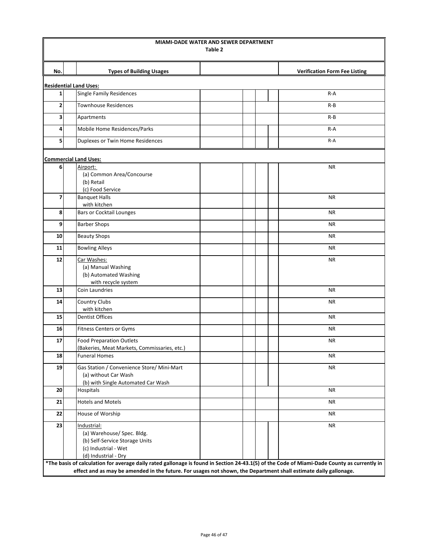| MIAMI-DADE WATER AND SEWER DEPARTMENT<br>Table 2                                                                                            |                                                                                                                  |  |  |  |                                      |  |
|---------------------------------------------------------------------------------------------------------------------------------------------|------------------------------------------------------------------------------------------------------------------|--|--|--|--------------------------------------|--|
| No.                                                                                                                                         | <b>Types of Building Usages</b>                                                                                  |  |  |  | <b>Verification Form Fee Listing</b> |  |
|                                                                                                                                             | <b>Residential Land Uses:</b>                                                                                    |  |  |  |                                      |  |
| $\mathbf{1}$                                                                                                                                | <b>Single Family Residences</b>                                                                                  |  |  |  | $R-A$                                |  |
| 2                                                                                                                                           | <b>Townhouse Residences</b>                                                                                      |  |  |  | $R-B$                                |  |
| 3                                                                                                                                           | Apartments                                                                                                       |  |  |  | R-B                                  |  |
| 4                                                                                                                                           | Mobile Home Residences/Parks                                                                                     |  |  |  | $R-A$                                |  |
| 5                                                                                                                                           | Duplexes or Twin Home Residences                                                                                 |  |  |  | R-A                                  |  |
|                                                                                                                                             |                                                                                                                  |  |  |  |                                      |  |
|                                                                                                                                             | <b>Commercial Land Uses:</b>                                                                                     |  |  |  |                                      |  |
| 6                                                                                                                                           | Airport:<br>(a) Common Area/Concourse                                                                            |  |  |  | <b>NR</b>                            |  |
|                                                                                                                                             | (b) Retail                                                                                                       |  |  |  |                                      |  |
|                                                                                                                                             | (c) Food Service                                                                                                 |  |  |  |                                      |  |
| 7                                                                                                                                           | <b>Banquet Halls</b>                                                                                             |  |  |  | NR.                                  |  |
| 8                                                                                                                                           | with kitchen<br><b>Bars or Cocktail Lounges</b>                                                                  |  |  |  | <b>NR</b>                            |  |
| 9                                                                                                                                           | <b>Barber Shops</b>                                                                                              |  |  |  | <b>NR</b>                            |  |
| 10                                                                                                                                          | <b>Beauty Shops</b>                                                                                              |  |  |  | <b>NR</b>                            |  |
| 11                                                                                                                                          | <b>Bowling Alleys</b>                                                                                            |  |  |  | <b>NR</b>                            |  |
| 12                                                                                                                                          | Car Washes:                                                                                                      |  |  |  | <b>NR</b>                            |  |
|                                                                                                                                             | (a) Manual Washing                                                                                               |  |  |  |                                      |  |
|                                                                                                                                             | (b) Automated Washing                                                                                            |  |  |  |                                      |  |
|                                                                                                                                             | with recycle system                                                                                              |  |  |  |                                      |  |
| 13                                                                                                                                          | Coin Laundries                                                                                                   |  |  |  | <b>NR</b>                            |  |
| 14                                                                                                                                          | <b>Country Clubs</b>                                                                                             |  |  |  | <b>NR</b>                            |  |
| 15                                                                                                                                          | with kitchen<br><b>Dentist Offices</b>                                                                           |  |  |  | <b>NR</b>                            |  |
| 16                                                                                                                                          | <b>Fitness Centers or Gyms</b>                                                                                   |  |  |  | <b>NR</b>                            |  |
| 17                                                                                                                                          | <b>Food Preparation Outlets</b>                                                                                  |  |  |  | <b>NR</b>                            |  |
|                                                                                                                                             | (Bakeries, Meat Markets, Commissaries, etc.)                                                                     |  |  |  |                                      |  |
| 18                                                                                                                                          | <b>Funeral Homes</b>                                                                                             |  |  |  | ΝR                                   |  |
| 19                                                                                                                                          | Gas Station / Convenience Store/ Mini-Mart                                                                       |  |  |  | <b>NR</b>                            |  |
|                                                                                                                                             | (a) without Car Wash                                                                                             |  |  |  |                                      |  |
|                                                                                                                                             | (b) with Single Automated Car Wash                                                                               |  |  |  | <b>NR</b>                            |  |
| 20                                                                                                                                          | Hospitals                                                                                                        |  |  |  |                                      |  |
| 21                                                                                                                                          | <b>Hotels and Motels</b>                                                                                         |  |  |  | <b>NR</b>                            |  |
| 22                                                                                                                                          | House of Worship                                                                                                 |  |  |  | <b>NR</b>                            |  |
| 23                                                                                                                                          | Industrial:                                                                                                      |  |  |  | <b>NR</b>                            |  |
|                                                                                                                                             | (a) Warehouse/ Spec. Bldg.<br>(b) Self-Service Storage Units                                                     |  |  |  |                                      |  |
|                                                                                                                                             | (c) Industrial - Wet                                                                                             |  |  |  |                                      |  |
|                                                                                                                                             | (d) Industrial - Dry                                                                                             |  |  |  |                                      |  |
| *The basis of calculation for average daily rated gallonage is found in Section 24-43.1(5) of the Code of Miami-Dade County as currently in |                                                                                                                  |  |  |  |                                      |  |
|                                                                                                                                             | effect and as may be amended in the future. For usages not shown, the Department shall estimate daily gallonage. |  |  |  |                                      |  |